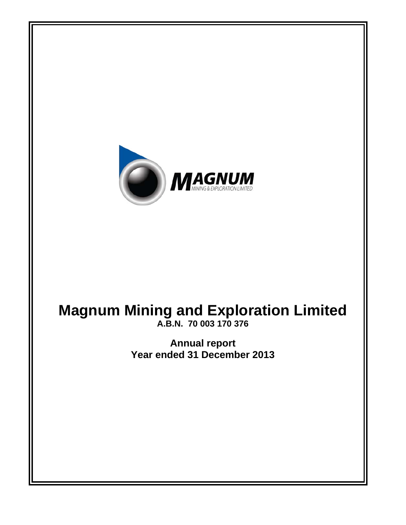

# **Magnum Mining and Exploration Limited**

**A.B.N. 70 003 170 376** 

**Annual report Year ended 31 December 2013**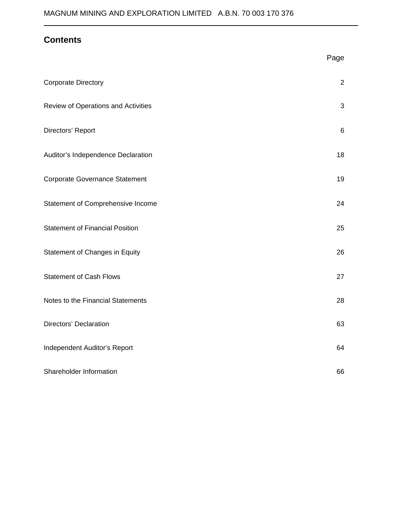# **Contents**

 $\overline{a}$ 

|                                        | Page           |
|----------------------------------------|----------------|
| <b>Corporate Directory</b>             | $\overline{2}$ |
| Review of Operations and Activities    | 3              |
| Directors' Report                      | 6              |
| Auditor's Independence Declaration     | 18             |
| <b>Corporate Governance Statement</b>  | 19             |
| Statement of Comprehensive Income      | 24             |
| <b>Statement of Financial Position</b> | 25             |
| Statement of Changes in Equity         | 26             |
| <b>Statement of Cash Flows</b>         | 27             |
| Notes to the Financial Statements      | 28             |
| <b>Directors' Declaration</b>          | 63             |
| Independent Auditor's Report           | 64             |
| Shareholder Information                | 66             |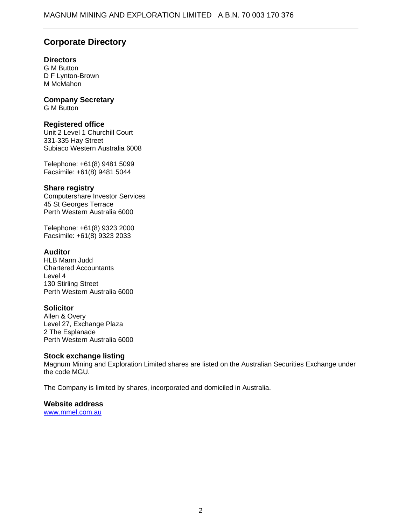# **Corporate Directory**

### **Directors**

G M Button D F Lynton-Brown M McMahon

### **Company Secretary**

G M Button

### **Registered office**

Unit 2 Level 1 Churchill Court 331-335 Hay Street Subiaco Western Australia 6008

Telephone: +61(8) 9481 5099 Facsimile: +61(8) 9481 5044

### **Share registry**

Computershare Investor Services 45 St Georges Terrace Perth Western Australia 6000

Telephone: +61(8) 9323 2000 Facsimile: +61(8) 9323 2033

### **Auditor**

HLB Mann Judd Chartered Accountants Level 4 130 Stirling Street Perth Western Australia 6000

### **Solicitor**

Allen & Overy Level 27, Exchange Plaza 2 The Esplanade Perth Western Australia 6000

### **Stock exchange listing**

Magnum Mining and Exploration Limited shares are listed on the Australian Securities Exchange under the code MGU.

The Company is limited by shares, incorporated and domiciled in Australia.

### **Website address**

www.mmel.com.au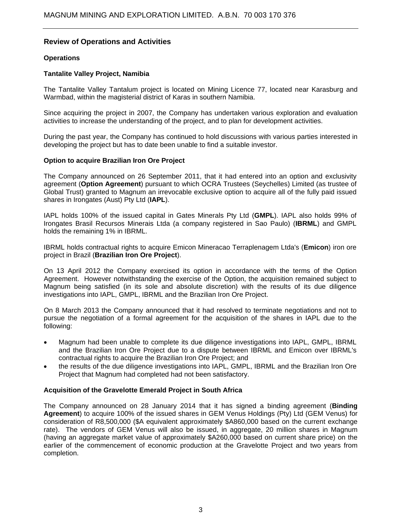### **Review of Operations and Activities**

### **Operations**

#### **Tantalite Valley Project, Namibia**

The Tantalite Valley Tantalum project is located on Mining Licence 77, located near Karasburg and Warmbad, within the magisterial district of Karas in southern Namibia.

Since acquiring the project in 2007, the Company has undertaken various exploration and evaluation activities to increase the understanding of the project, and to plan for development activities.

During the past year, the Company has continued to hold discussions with various parties interested in developing the project but has to date been unable to find a suitable investor.

### **Option to acquire Brazilian Iron Ore Project**

The Company announced on 26 September 2011, that it had entered into an option and exclusivity agreement (**Option Agreement**) pursuant to which OCRA Trustees (Seychelles) Limited (as trustee of Global Trust) granted to Magnum an irrevocable exclusive option to acquire all of the fully paid issued shares in Irongates (Aust) Pty Ltd (**IAPL**).

IAPL holds 100% of the issued capital in Gates Minerals Pty Ltd (**GMPL**). IAPL also holds 99% of Irongates Brasil Recursos Minerais Ltda (a company registered in Sao Paulo) (**IBRML**) and GMPL holds the remaining 1% in IBRML.

IBRML holds contractual rights to acquire Emicon Mineracao Terraplenagem Ltda's (**Emicon**) iron ore project in Brazil (**Brazilian Iron Ore Project**).

On 13 April 2012 the Company exercised its option in accordance with the terms of the Option Agreement. However notwithstanding the exercise of the Option, the acquisition remained subject to Magnum being satisfied (in its sole and absolute discretion) with the results of its due diligence investigations into IAPL, GMPL, IBRML and the Brazilian Iron Ore Project.

On 8 March 2013 the Company announced that it had resolved to terminate negotiations and not to pursue the negotiation of a formal agreement for the acquisition of the shares in IAPL due to the following:

- Magnum had been unable to complete its due diligence investigations into IAPL, GMPL, IBRML and the Brazilian Iron Ore Project due to a dispute between IBRML and Emicon over IBRML's contractual rights to acquire the Brazilian Iron Ore Project; and
- the results of the due diligence investigations into IAPL, GMPL, IBRML and the Brazilian Iron Ore Project that Magnum had completed had not been satisfactory.

#### **Acquisition of the Gravelotte Emerald Project in South Africa**

The Company announced on 28 January 2014 that it has signed a binding agreement (**Binding Agreement**) to acquire 100% of the issued shares in GEM Venus Holdings (Pty) Ltd (GEM Venus) for consideration of R8,500,000 (\$A equivalent approximately \$A860,000 based on the current exchange rate). The vendors of GEM Venus will also be issued, in aggregate, 20 million shares in Magnum (having an aggregate market value of approximately \$A260,000 based on current share price) on the earlier of the commencement of economic production at the Gravelotte Project and two years from completion.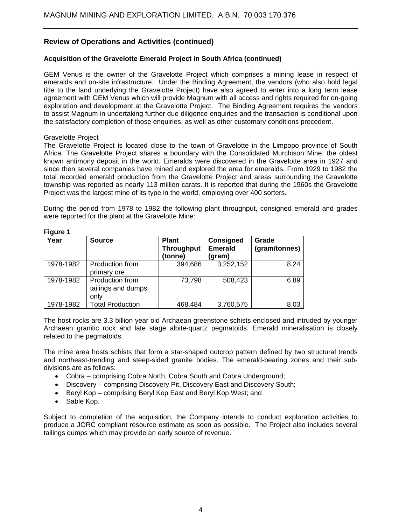### **Review of Operations and Activities (continued)**

### **Acquisition of the Gravelotte Emerald Project in South Africa (continued)**

GEM Venus is the owner of the Gravelotte Project which comprises a mining lease in respect of emeralds and on-site infrastructure. Under the Binding Agreement, the vendors (who also hold legal title to the land underlying the Gravelotte Project) have also agreed to enter into a long term lease agreement with GEM Venus which will provide Magnum with all access and rights required for on-going exploration and development at the Gravelotte Project. The Binding Agreement requires the vendors to assist Magnum in undertaking further due diligence enquiries and the transaction is conditional upon the satisfactory completion of those enquiries, as well as other customary conditions precedent.

#### Gravelotte Project

The Gravelotte Project is located close to the town of Gravelotte in the Limpopo province of South Africa. The Gravelotte Project shares a boundary with the Consolidated Murchison Mine, the oldest known antimony deposit in the world. Emeralds were discovered in the Gravelotte area in 1927 and since then several companies have mined and explored the area for emeralds. From 1929 to 1982 the total recorded emerald production from the Gravelotte Project and areas surrounding the Gravelotte township was reported as nearly 113 million carats. It is reported that during the 1960s the Gravelotte Project was the largest mine of its type in the world, employing over 400 sorters.

During the period from 1978 to 1982 the following plant throughput, consigned emerald and grades were reported for the plant at the Gravelotte Mine:

| . .<br>Year | <b>Source</b>                                 | <b>Plant</b><br><b>Throughput</b><br>(tonne) | <b>Consigned</b><br><b>Emerald</b><br>(gram) | Grade<br>(gram/tonnes) |
|-------------|-----------------------------------------------|----------------------------------------------|----------------------------------------------|------------------------|
| 1978-1982   | <b>Production from</b><br>primary ore         | 394,686                                      | 3,252,152                                    | 8.24                   |
| 1978-1982   | Production from<br>tailings and dumps<br>only | 73,798                                       | 508,423                                      | 6.89                   |
| 1978-1982   | <b>Total Production</b>                       | 468,484                                      | 3,760,575                                    | 8.03                   |

#### **Figure 1**

The host rocks are 3.3 billion year old Archaean greenstone schists enclosed and intruded by younger Archaean granitic rock and late stage albite-quartz pegmatoids. Emerald mineralisation is closely related to the pegmatoids.

The mine area hosts schists that form a star-shaped outcrop pattern defined by two structural trends and northeast-trending and steep-sided granite bodies. The emerald-bearing zones and their subdivisions are as follows:

- Cobra comprising Cobra North, Cobra South and Cobra Underground;
- Discovery comprising Discovery Pit, Discovery East and Discovery South;
- Beryl Kop comprising Beryl Kop East and Beryl Kop West; and
- Sable Kop.

Subject to completion of the acquisition, the Company intends to conduct exploration activities to produce a JORC compliant resource estimate as soon as possible. The Project also includes several tailings dumps which may provide an early source of revenue.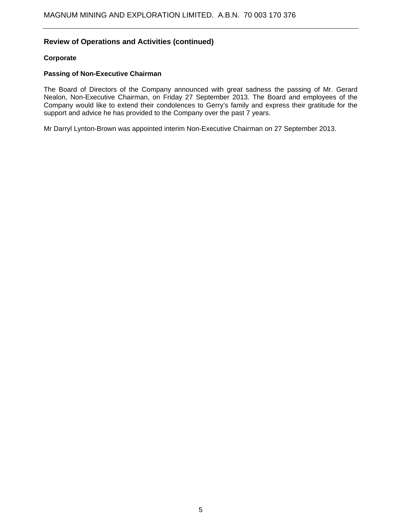### **Review of Operations and Activities (continued)**

#### **Corporate**

#### **Passing of Non-Executive Chairman**

The Board of Directors of the Company announced with great sadness the passing of Mr. Gerard Nealon, Non-Executive Chairman, on Friday 27 September 2013. The Board and employees of the Company would like to extend their condolences to Gerry's family and express their gratitude for the support and advice he has provided to the Company over the past 7 years.

Mr Darryl Lynton-Brown was appointed interim Non-Executive Chairman on 27 September 2013.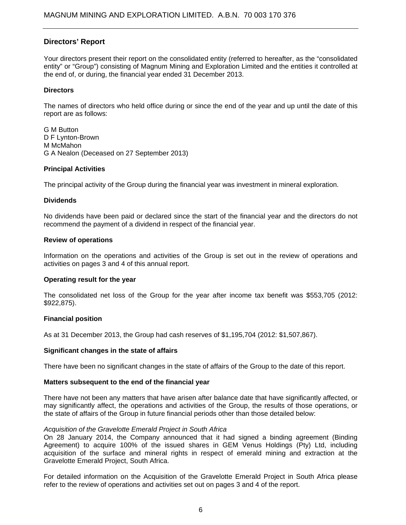### **Directors' Report**

Your directors present their report on the consolidated entity (referred to hereafter, as the "consolidated entity" or "Group") consisting of Magnum Mining and Exploration Limited and the entities it controlled at the end of, or during, the financial year ended 31 December 2013.

#### **Directors**

The names of directors who held office during or since the end of the year and up until the date of this report are as follows:

G M Button D F Lynton-Brown M McMahon G A Nealon (Deceased on 27 September 2013)

### **Principal Activities**

The principal activity of the Group during the financial year was investment in mineral exploration.

#### **Dividends**

No dividends have been paid or declared since the start of the financial year and the directors do not recommend the payment of a dividend in respect of the financial year.

### **Review of operations**

Information on the operations and activities of the Group is set out in the review of operations and activities on pages 3 and 4 of this annual report.

#### **Operating result for the year**

The consolidated net loss of the Group for the year after income tax benefit was \$553,705 (2012: \$922,875).

#### **Financial position**

As at 31 December 2013, the Group had cash reserves of \$1,195,704 (2012: \$1,507,867).

#### **Significant changes in the state of affairs**

There have been no significant changes in the state of affairs of the Group to the date of this report.

#### **Matters subsequent to the end of the financial year**

There have not been any matters that have arisen after balance date that have significantly affected, or may significantly affect, the operations and activities of the Group, the results of those operations, or the state of affairs of the Group in future financial periods other than those detailed below:

#### *Acquisition of the Gravelotte Emerald Project in South Africa*

On 28 January 2014, the Company announced that it had signed a binding agreement (Binding Agreement) to acquire 100% of the issued shares in GEM Venus Holdings (Pty) Ltd, including acquisition of the surface and mineral rights in respect of emerald mining and extraction at the Gravelotte Emerald Project, South Africa.

For detailed information on the Acquisition of the Gravelotte Emerald Project in South Africa please refer to the review of operations and activities set out on pages 3 and 4 of the report.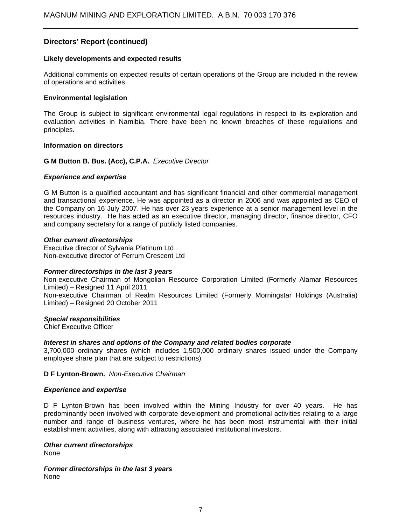#### **Likely developments and expected results**

Additional comments on expected results of certain operations of the Group are included in the review of operations and activities.

### **Environmental legislation**

The Group is subject to significant environmental legal regulations in respect to its exploration and evaluation activities in Namibia. There have been no known breaches of these regulations and principles.

#### **Information on directors**

### **G M Button B. Bus. (Acc), C.P.A.** *Executive Director*

### *Experience and expertise*

G M Button is a qualified accountant and has significant financial and other commercial management and transactional experience. He was appointed as a director in 2006 and was appointed as CEO of the Company on 16 July 2007. He has over 23 years experience at a senior management level in the resources industry. He has acted as an executive director, managing director, finance director, CFO and company secretary for a range of publicly listed companies.

#### *Other current directorships*

Executive director of Sylvania Platinum Ltd Non-executive director of Ferrum Crescent Ltd

#### *Former directorships in the last 3 years*

Non-executive Chairman of Mongolian Resource Corporation Limited (Formerly Alamar Resources Limited) – Resigned 11 April 2011 Non-executive Chairman of Realm Resources Limited (Formerly Morningstar Holdings (Australia) Limited) – Resigned 20 October 2011

#### *Special responsibilities*

Chief Executive Officer

### *Interest in shares and options of the Company and related bodies corporate*

3,700,000 ordinary shares (which includes 1,500,000 ordinary shares issued under the Company employee share plan that are subject to restrictions)

#### **D F Lynton-Brown.** *Non-Executive Chairman*

#### *Experience and expertise*

D F Lynton-Brown has been involved within the Mining Industry for over 40 years. He has predominantly been involved with corporate development and promotional activities relating to a large number and range of business ventures, where he has been most instrumental with their initial establishment activities, along with attracting associated institutional investors.

*Other current directorships* 

None

*Former directorships in the last 3 years*  None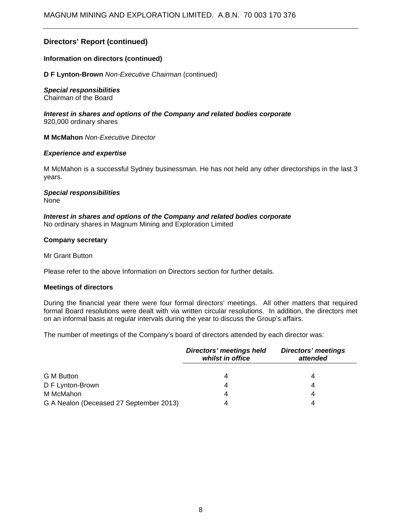### **Information on directors (continued)**

**D F Lynton-Brown** *Non-Executive Chairman* (continued)

#### *Special responsibilities*

Chairman of the Board

*Interest in shares and options of the Company and related bodies corporate*  920,000 ordinary shares

**M McMahon** *Non-Executive Director*

#### *Experience and expertise*

M McMahon is a successful Sydney businessman. He has not held any other directorships in the last 3 years.

#### *Special responsibilities*  **None**

#### *Interest in shares and options of the Company and related bodies corporate*  No ordinary shares in Magnum Mining and Exploration Limited

### **Company secretary**

Mr Grant Button

Please refer to the above Information on Directors section for further details.

#### **Meetings of directors**

During the financial year there were four formal directors' meetings. All other matters that required formal Board resolutions were dealt with via written circular resolutions. In addition, the directors met on an informal basis at regular intervals during the year to discuss the Group's affairs.

The number of meetings of the Company's board of directors attended by each director was:

|                                         | <b>Directors' meetings held</b><br>whilst in office | <b>Directors' meetings</b><br>attended |
|-----------------------------------------|-----------------------------------------------------|----------------------------------------|
|                                         |                                                     |                                        |
| G M Button                              | 4                                                   |                                        |
| D F Lynton-Brown                        | 4                                                   | 4                                      |
| M McMahon                               | 4                                                   | 4                                      |
| G A Nealon (Deceased 27 September 2013) | 4                                                   | 4                                      |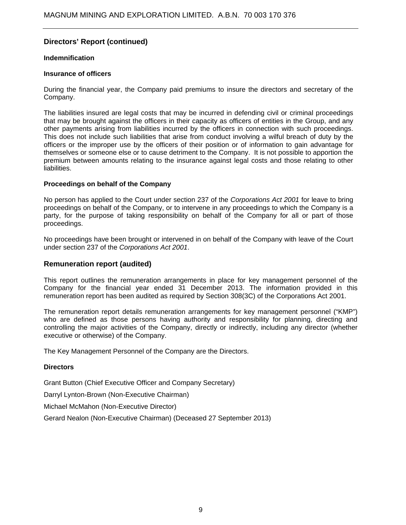### **Indemnification**

#### **Insurance of officers**

During the financial year, the Company paid premiums to insure the directors and secretary of the Company.

The liabilities insured are legal costs that may be incurred in defending civil or criminal proceedings that may be brought against the officers in their capacity as officers of entities in the Group, and any other payments arising from liabilities incurred by the officers in connection with such proceedings. This does not include such liabilities that arise from conduct involving a wilful breach of duty by the officers or the improper use by the officers of their position or of information to gain advantage for themselves or someone else or to cause detriment to the Company. It is not possible to apportion the premium between amounts relating to the insurance against legal costs and those relating to other liabilities.

### **Proceedings on behalf of the Company**

No person has applied to the Court under section 237 of the *Corporations Act 2001* for leave to bring proceedings on behalf of the Company, or to intervene in any proceedings to which the Company is a party, for the purpose of taking responsibility on behalf of the Company for all or part of those proceedings.

No proceedings have been brought or intervened in on behalf of the Company with leave of the Court under section 237 of the *Corporations Act 2001*.

### **Remuneration report (audited)**

This report outlines the remuneration arrangements in place for key management personnel of the Company for the financial year ended 31 December 2013. The information provided in this remuneration report has been audited as required by Section 308(3C) of the Corporations Act 2001.

The remuneration report details remuneration arrangements for key management personnel ("KMP") who are defined as those persons having authority and responsibility for planning, directing and controlling the major activities of the Company, directly or indirectly, including any director (whether executive or otherwise) of the Company.

The Key Management Personnel of the Company are the Directors.

#### **Directors**

Grant Button (Chief Executive Officer and Company Secretary)

Darryl Lynton-Brown (Non-Executive Chairman)

Michael McMahon (Non-Executive Director)

Gerard Nealon (Non-Executive Chairman) (Deceased 27 September 2013)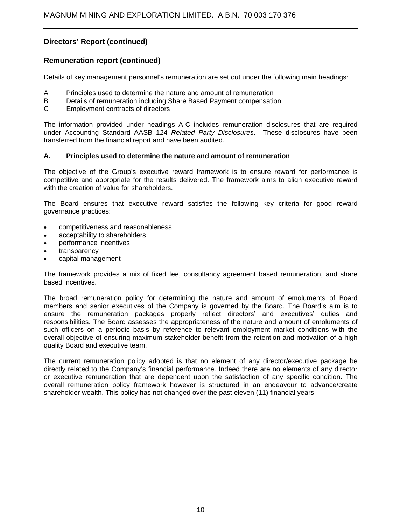### **Remuneration report (continued)**

Details of key management personnel's remuneration are set out under the following main headings:

- A Principles used to determine the nature and amount of remuneration
- B Details of remuneration including Share Based Payment compensation
- C Employment contracts of directors

The information provided under headings A-C includes remuneration disclosures that are required under Accounting Standard AASB 124 *Related Party Disclosures*. These disclosures have been transferred from the financial report and have been audited.

### **A. Principles used to determine the nature and amount of remuneration**

The objective of the Group's executive reward framework is to ensure reward for performance is competitive and appropriate for the results delivered. The framework aims to align executive reward with the creation of value for shareholders.

The Board ensures that executive reward satisfies the following key criteria for good reward governance practices:

- competitiveness and reasonableness
- acceptability to shareholders
- performance incentives
- transparency
- capital management

The framework provides a mix of fixed fee, consultancy agreement based remuneration, and share based incentives.

The broad remuneration policy for determining the nature and amount of emoluments of Board members and senior executives of the Company is governed by the Board. The Board's aim is to ensure the remuneration packages properly reflect directors' and executives' duties and responsibilities. The Board assesses the appropriateness of the nature and amount of emoluments of such officers on a periodic basis by reference to relevant employment market conditions with the overall objective of ensuring maximum stakeholder benefit from the retention and motivation of a high quality Board and executive team.

The current remuneration policy adopted is that no element of any director/executive package be directly related to the Company's financial performance. Indeed there are no elements of any director or executive remuneration that are dependent upon the satisfaction of any specific condition. The overall remuneration policy framework however is structured in an endeavour to advance/create shareholder wealth. This policy has not changed over the past eleven (11) financial years.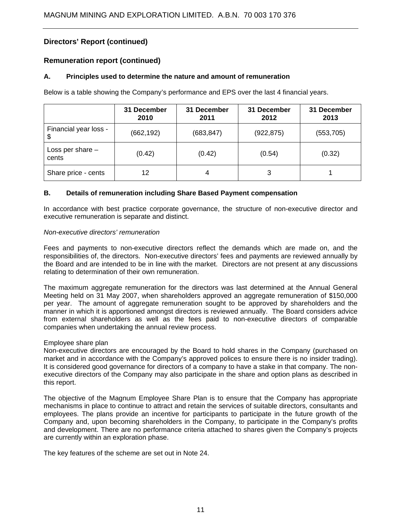### **Remuneration report (continued)**

### **A. Principles used to determine the nature and amount of remuneration**

Below is a table showing the Company's performance and EPS over the last 4 financial years.

|                             | 31 December<br>31 December<br>31 December<br>2010<br>2011<br>2012 |            | 31 December<br>2013 |            |
|-----------------------------|-------------------------------------------------------------------|------------|---------------------|------------|
| Financial year loss -<br>\$ | (662, 192)                                                        | (683, 847) | (922, 875)          | (553, 705) |
| Loss per share $-$<br>cents | (0.42)                                                            | (0.42)     | (0.54)              | (0.32)     |
| Share price - cents         | 12                                                                | 4          | 3                   |            |

### **B. Details of remuneration including Share Based Payment compensation**

In accordance with best practice corporate governance, the structure of non-executive director and executive remuneration is separate and distinct.

#### *Non-executive directors' remuneration*

Fees and payments to non-executive directors reflect the demands which are made on, and the responsibilities of, the directors. Non-executive directors' fees and payments are reviewed annually by the Board and are intended to be in line with the market. Directors are not present at any discussions relating to determination of their own remuneration.

The maximum aggregate remuneration for the directors was last determined at the Annual General Meeting held on 31 May 2007, when shareholders approved an aggregate remuneration of \$150,000 per year. The amount of aggregate remuneration sought to be approved by shareholders and the manner in which it is apportioned amongst directors is reviewed annually. The Board considers advice from external shareholders as well as the fees paid to non-executive directors of comparable companies when undertaking the annual review process.

### Employee share plan

Non-executive directors are encouraged by the Board to hold shares in the Company (purchased on market and in accordance with the Company's approved polices to ensure there is no insider trading). It is considered good governance for directors of a company to have a stake in that company. The nonexecutive directors of the Company may also participate in the share and option plans as described in this report.

The objective of the Magnum Employee Share Plan is to ensure that the Company has appropriate mechanisms in place to continue to attract and retain the services of suitable directors, consultants and employees. The plans provide an incentive for participants to participate in the future growth of the Company and, upon becoming shareholders in the Company, to participate in the Company's profits and development. There are no performance criteria attached to shares given the Company's projects are currently within an exploration phase.

The key features of the scheme are set out in Note 24.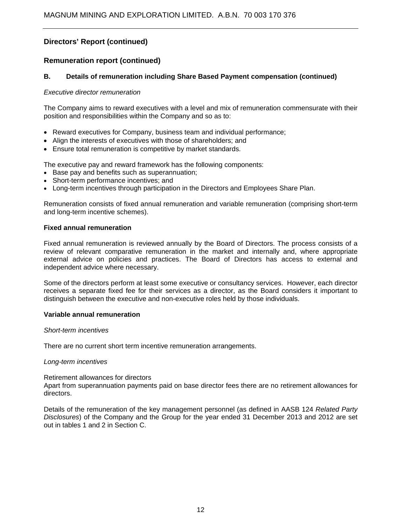### **Remuneration report (continued)**

### **B. Details of remuneration including Share Based Payment compensation (continued)**

#### *Executive director remuneration*

The Company aims to reward executives with a level and mix of remuneration commensurate with their position and responsibilities within the Company and so as to:

- Reward executives for Company, business team and individual performance;
- Align the interests of executives with those of shareholders; and
- Ensure total remuneration is competitive by market standards.

The executive pay and reward framework has the following components:

- Base pay and benefits such as superannuation;
- Short-term performance incentives; and
- Long-term incentives through participation in the Directors and Employees Share Plan.

Remuneration consists of fixed annual remuneration and variable remuneration (comprising short-term and long-term incentive schemes).

### **Fixed annual remuneration**

Fixed annual remuneration is reviewed annually by the Board of Directors. The process consists of a review of relevant comparative remuneration in the market and internally and, where appropriate external advice on policies and practices. The Board of Directors has access to external and independent advice where necessary.

Some of the directors perform at least some executive or consultancy services. However, each director receives a separate fixed fee for their services as a director, as the Board considers it important to distinguish between the executive and non-executive roles held by those individuals.

#### **Variable annual remuneration**

#### *Short-term incentives*

There are no current short term incentive remuneration arrangements.

#### *Long-term incentives*

Retirement allowances for directors

Apart from superannuation payments paid on base director fees there are no retirement allowances for directors.

Details of the remuneration of the key management personnel (as defined in AASB 124 *Related Party Disclosures*) of the Company and the Group for the year ended 31 December 2013 and 2012 are set out in tables 1 and 2 in Section C.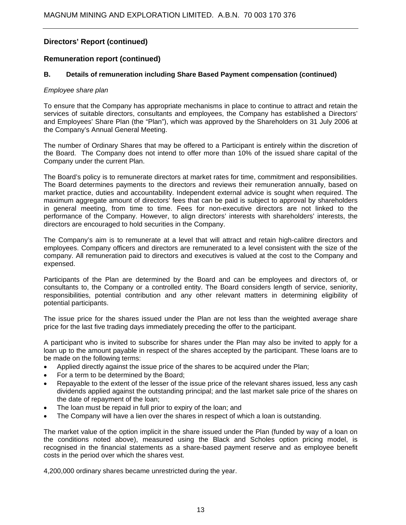### **Remuneration report (continued)**

### **B. Details of remuneration including Share Based Payment compensation (continued)**

#### *Employee share plan*

To ensure that the Company has appropriate mechanisms in place to continue to attract and retain the services of suitable directors, consultants and employees, the Company has established a Directors' and Employees' Share Plan (the "Plan"), which was approved by the Shareholders on 31 July 2006 at the Company's Annual General Meeting.

The number of Ordinary Shares that may be offered to a Participant is entirely within the discretion of the Board. The Company does not intend to offer more than 10% of the issued share capital of the Company under the current Plan.

The Board's policy is to remunerate directors at market rates for time, commitment and responsibilities. The Board determines payments to the directors and reviews their remuneration annually, based on market practice, duties and accountability. Independent external advice is sought when required. The maximum aggregate amount of directors' fees that can be paid is subject to approval by shareholders in general meeting, from time to time. Fees for non-executive directors are not linked to the performance of the Company. However, to align directors' interests with shareholders' interests, the directors are encouraged to hold securities in the Company.

The Company's aim is to remunerate at a level that will attract and retain high-calibre directors and employees. Company officers and directors are remunerated to a level consistent with the size of the company. All remuneration paid to directors and executives is valued at the cost to the Company and expensed.

Participants of the Plan are determined by the Board and can be employees and directors of, or consultants to, the Company or a controlled entity. The Board considers length of service, seniority, responsibilities, potential contribution and any other relevant matters in determining eligibility of potential participants.

The issue price for the shares issued under the Plan are not less than the weighted average share price for the last five trading days immediately preceding the offer to the participant.

A participant who is invited to subscribe for shares under the Plan may also be invited to apply for a loan up to the amount payable in respect of the shares accepted by the participant. These loans are to be made on the following terms:

- Applied directly against the issue price of the shares to be acquired under the Plan;
- For a term to be determined by the Board;
- Repayable to the extent of the lesser of the issue price of the relevant shares issued, less any cash dividends applied against the outstanding principal; and the last market sale price of the shares on the date of repayment of the loan;
- The loan must be repaid in full prior to expiry of the loan; and
- The Company will have a lien over the shares in respect of which a loan is outstanding.

The market value of the option implicit in the share issued under the Plan (funded by way of a loan on the conditions noted above), measured using the Black and Scholes option pricing model, is recognised in the financial statements as a share-based payment reserve and as employee benefit costs in the period over which the shares vest.

4,200,000 ordinary shares became unrestricted during the year.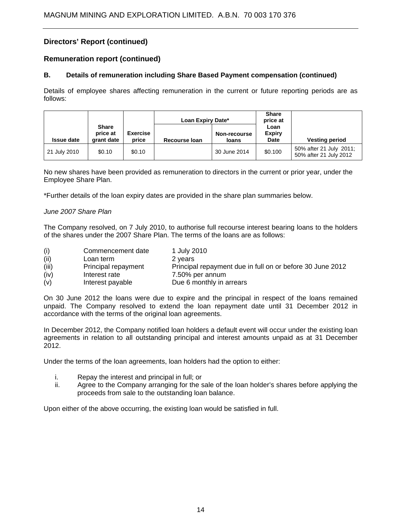### **Remuneration report (continued)**

### **B. Details of remuneration including Share Based Payment compensation (continued)**

Details of employee shares affecting remuneration in the current or future reporting periods are as follows:

|                   |                                        |                          | Loan Expiry Date* |                       | <b>Share</b><br>price at      |                                                   |
|-------------------|----------------------------------------|--------------------------|-------------------|-----------------------|-------------------------------|---------------------------------------------------|
| <b>Issue date</b> | <b>Share</b><br>price at<br>grant date | <b>Exercise</b><br>price | Recourse Ioan     | Non-recourse<br>loans | Loan<br><b>Expiry</b><br>Date | <b>Vesting period</b>                             |
| 21 July 2010      | \$0.10                                 | \$0.10                   |                   | 30 June 2014          | \$0.100                       | 50% after 21 July 2011;<br>50% after 21 July 2012 |

No new shares have been provided as remuneration to directors in the current or prior year, under the Employee Share Plan.

\*Further details of the loan expiry dates are provided in the share plan summaries below.

### *June 2007 Share Plan*

The Company resolved, on 7 July 2010, to authorise full recourse interest bearing loans to the holders of the shares under the 2007 Share Plan. The terms of the loans are as follows:

| (i)   | Commencement date   | 1 July 2010                                               |
|-------|---------------------|-----------------------------------------------------------|
| (ii)  | Loan term           | 2 years                                                   |
| (iii) | Principal repayment | Principal repayment due in full on or before 30 June 2012 |
| (iv)  | Interest rate       | 7.50% per annum                                           |
| (v)   | Interest payable    | Due 6 monthly in arrears                                  |

On 30 June 2012 the loans were due to expire and the principal in respect of the loans remained unpaid. The Company resolved to extend the loan repayment date until 31 December 2012 in accordance with the terms of the original loan agreements.

In December 2012, the Company notified loan holders a default event will occur under the existing loan agreements in relation to all outstanding principal and interest amounts unpaid as at 31 December 2012.

Under the terms of the loan agreements, loan holders had the option to either:

- i. Repay the interest and principal in full; or
- ii. Agree to the Company arranging for the sale of the loan holder's shares before applying the proceeds from sale to the outstanding loan balance.

Upon either of the above occurring, the existing loan would be satisfied in full.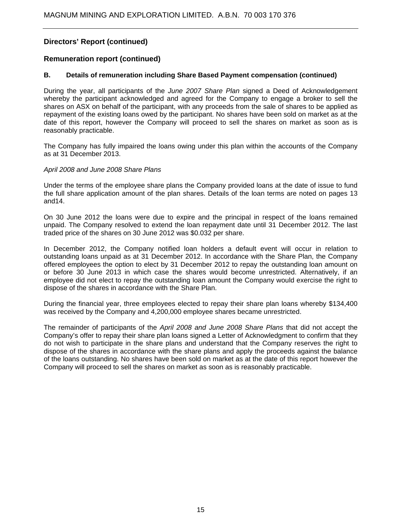### **Remuneration report (continued)**

### **B. Details of remuneration including Share Based Payment compensation (continued)**

During the year, all participants of the *June 2007 Share Plan* signed a Deed of Acknowledgement whereby the participant acknowledged and agreed for the Company to engage a broker to sell the shares on ASX on behalf of the participant, with any proceeds from the sale of shares to be applied as repayment of the existing loans owed by the participant. No shares have been sold on market as at the date of this report, however the Company will proceed to sell the shares on market as soon as is reasonably practicable.

The Company has fully impaired the loans owing under this plan within the accounts of the Company as at 31 December 2013.

### *April 2008 and June 2008 Share Plans*

Under the terms of the employee share plans the Company provided loans at the date of issue to fund the full share application amount of the plan shares. Details of the loan terms are noted on pages 13 and14.

On 30 June 2012 the loans were due to expire and the principal in respect of the loans remained unpaid. The Company resolved to extend the loan repayment date until 31 December 2012. The last traded price of the shares on 30 June 2012 was \$0.032 per share.

In December 2012, the Company notified loan holders a default event will occur in relation to outstanding loans unpaid as at 31 December 2012. In accordance with the Share Plan, the Company offered employees the option to elect by 31 December 2012 to repay the outstanding loan amount on or before 30 June 2013 in which case the shares would become unrestricted. Alternatively, if an employee did not elect to repay the outstanding loan amount the Company would exercise the right to dispose of the shares in accordance with the Share Plan.

During the financial year, three employees elected to repay their share plan loans whereby \$134,400 was received by the Company and 4,200,000 employee shares became unrestricted.

The remainder of participants of the *April 2008 and June 2008 Share Plans* that did not accept the Company's offer to repay their share plan loans signed a Letter of Acknowledgment to confirm that they do not wish to participate in the share plans and understand that the Company reserves the right to dispose of the shares in accordance with the share plans and apply the proceeds against the balance of the loans outstanding. No shares have been sold on market as at the date of this report however the Company will proceed to sell the shares on market as soon as is reasonably practicable.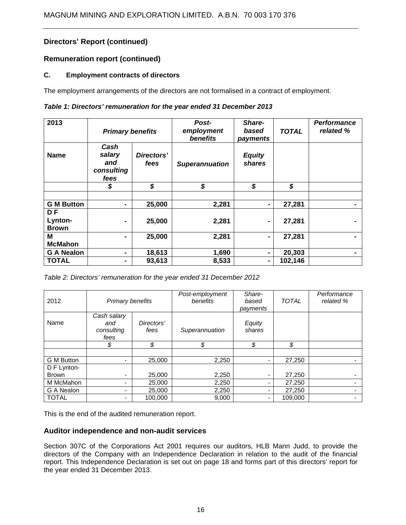### **Remuneration report (continued)**

### **C. Employment contracts of directors**

The employment arrangements of the directors are not formalised in a contract of employment.

### *Table 1: Directors' remuneration for the year ended 31 December 2013*

| 2013                                 | <b>Primary benefits</b>                     |                    | Post-<br>employment<br>benefits | Share-<br>based<br>payments | <b>TOTAL</b> | <b>Performance</b><br>related % |
|--------------------------------------|---------------------------------------------|--------------------|---------------------------------|-----------------------------|--------------|---------------------------------|
| <b>Name</b>                          | Cash<br>salary<br>and<br>consulting<br>fees | Directors'<br>fees | <b>Superannuation</b>           | <b>Equity</b><br>shares     |              |                                 |
|                                      | \$                                          | \$                 | \$                              | \$                          | \$           |                                 |
|                                      |                                             |                    |                                 |                             |              |                                 |
| <b>G M Button</b>                    | $\blacksquare$                              | 25,000             | 2,281                           |                             | 27,281       |                                 |
| <b>DF</b><br>Lynton-<br><b>Brown</b> |                                             | 25,000             | 2,281                           | ۰                           | 27,281       |                                 |
| M                                    |                                             | 25,000             | 2,281                           |                             | 27,281       |                                 |
| <b>McMahon</b>                       |                                             |                    |                                 |                             |              |                                 |
| <b>G A Nealon</b>                    | ۰                                           | 18,613             | 1,690                           |                             | 20,303       |                                 |
| <b>TOTAL</b>                         | ۰                                           | 93,613             | 8,533                           |                             | 102,146      |                                 |

*Table 2: Directors' remuneration for the year ended 31 December 2012*

| 2012         | Primary benefits                                               |         | Post-employment<br>benefits | Share-<br>based<br>payments | <b>TOTAL</b> | Performance<br>related % |
|--------------|----------------------------------------------------------------|---------|-----------------------------|-----------------------------|--------------|--------------------------|
| Name         | Cash salary<br>Directors'<br>and<br>consulting<br>fees<br>fees |         | Superannuation              | Equity<br>shares            |              |                          |
|              | \$                                                             | \$      | \$                          | \$                          | \$           |                          |
|              |                                                                |         |                             |                             |              |                          |
| G M Button   | -                                                              | 25,000  | 2,250                       |                             | 27,250       |                          |
| D F Lynton-  |                                                                |         |                             |                             |              |                          |
| <b>Brown</b> |                                                                | 25,000  | 2,250                       |                             | 27,250       |                          |
| M McMahon    |                                                                | 25,000  | 2,250                       |                             | 27,250       |                          |
| G A Nealon   |                                                                | 25,000  | 2,250                       |                             | 27,250       |                          |
| <b>TOTAL</b> |                                                                | 100,000 | 9,000                       |                             | 109,000      |                          |

This is the end of the audited remuneration report.

### **Auditor independence and non-audit services**

Section 307C of the Corporations Act 2001 requires our auditors, HLB Mann Judd, to provide the directors of the Company with an Independence Declaration in relation to the audit of the financial report. This Independence Declaration is set out on page 18 and forms part of this directors' report for the year ended 31 December 2013.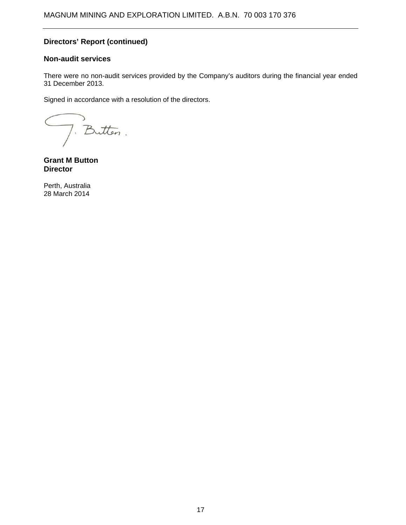### **Non-audit services**

There were no non-audit services provided by the Company's auditors during the financial year ended 31 December 2013.

Signed in accordance with a resolution of the directors.

J. Butten.

**Grant M Button Director** 

Perth, Australia 28 March 2014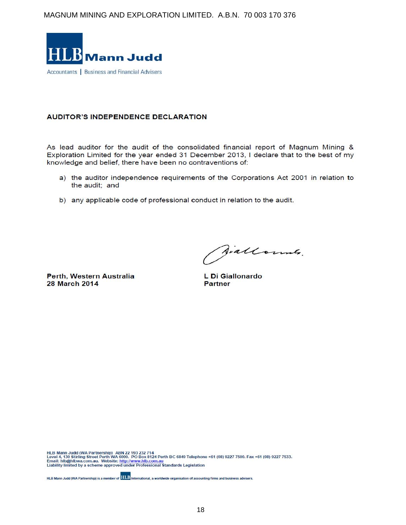

### **AUDITOR'S INDEPENDENCE DECLARATION**

As lead auditor for the audit of the consolidated financial report of Magnum Mining & Exploration Limited for the year ended 31 December 2013, I declare that to the best of my knowledge and belief, there have been no contraventions of:

- a) the auditor independence requirements of the Corporations Act 2001 in relation to the audit; and
- b) any applicable code of professional conduct in relation to the audit.

Perth, Western Australia **28 March 2014** 

Siallounts.

L Di Giallonardo **Partner** 

HLB Mann Judd (WA Partnership) ABN 22 193 232 714<br>Level 4, 130 Stirling Street Perth WA 6000. PO Box 8124 Perth BC 6849 Telephone +61 (08) 9227 7500. Fax +61 (08) 9227 7533.<br>Email: hlb@hlbwa.com.au. Website: <u>http://www</u>

HLB Mann Judd (WA Partnership) is a member of **HLLB** International, a worldwide organisation of accounting firms and business advisers.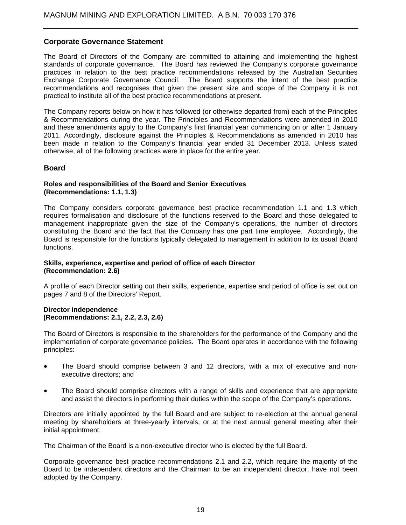### **Corporate Governance Statement**

The Board of Directors of the Company are committed to attaining and implementing the highest standards of corporate governance. The Board has reviewed the Company's corporate governance practices in relation to the best practice recommendations released by the Australian Securities Exchange Corporate Governance Council. The Board supports the intent of the best practice recommendations and recognises that given the present size and scope of the Company it is not practical to institute all of the best practice recommendations at present.

The Company reports below on how it has followed (or otherwise departed from) each of the Principles & Recommendations during the year. The Principles and Recommendations were amended in 2010 and these amendments apply to the Company's first financial year commencing on or after 1 January 2011. Accordingly, disclosure against the Principles & Recommendations as amended in 2010 has been made in relation to the Company's financial year ended 31 December 2013. Unless stated otherwise, all of the following practices were in place for the entire year.

### **Board**

#### **Roles and responsibilities of the Board and Senior Executives (Recommendations: 1.1, 1.3)**

The Company considers corporate governance best practice recommendation 1.1 and 1.3 which requires formalisation and disclosure of the functions reserved to the Board and those delegated to management inappropriate given the size of the Company's operations, the number of directors constituting the Board and the fact that the Company has one part time employee. Accordingly, the Board is responsible for the functions typically delegated to management in addition to its usual Board functions.

### **Skills, experience, expertise and period of office of each Director (Recommendation: 2.6)**

A profile of each Director setting out their skills, experience, expertise and period of office is set out on pages 7 and 8 of the Directors' Report.

### **Director independence (Recommendations: 2.1, 2.2, 2.3, 2.6)**

The Board of Directors is responsible to the shareholders for the performance of the Company and the implementation of corporate governance policies. The Board operates in accordance with the following principles:

- The Board should comprise between 3 and 12 directors, with a mix of executive and nonexecutive directors; and
- The Board should comprise directors with a range of skills and experience that are appropriate and assist the directors in performing their duties within the scope of the Company's operations.

Directors are initially appointed by the full Board and are subject to re-election at the annual general meeting by shareholders at three-yearly intervals, or at the next annual general meeting after their initial appointment.

The Chairman of the Board is a non-executive director who is elected by the full Board.

Corporate governance best practice recommendations 2.1 and 2.2, which require the majority of the Board to be independent directors and the Chairman to be an independent director, have not been adopted by the Company.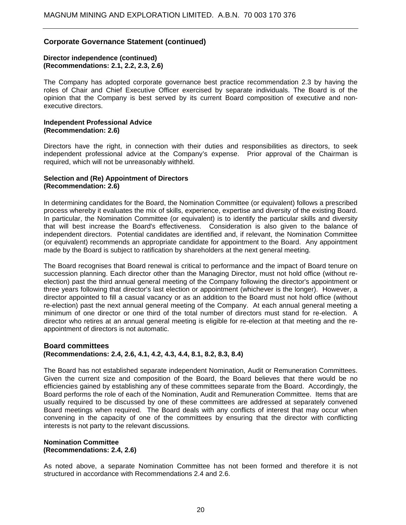#### **Director independence (continued) (Recommendations: 2.1, 2.2, 2.3, 2.6)**

The Company has adopted corporate governance best practice recommendation 2.3 by having the roles of Chair and Chief Executive Officer exercised by separate individuals. The Board is of the opinion that the Company is best served by its current Board composition of executive and nonexecutive directors.

#### **Independent Professional Advice (Recommendation: 2.6)**

Directors have the right, in connection with their duties and responsibilities as directors, to seek independent professional advice at the Company's expense. Prior approval of the Chairman is required, which will not be unreasonably withheld.

#### **Selection and (Re) Appointment of Directors (Recommendation: 2.6)**

In determining candidates for the Board, the Nomination Committee (or equivalent) follows a prescribed process whereby it evaluates the mix of skills, experience, expertise and diversity of the existing Board. In particular, the Nomination Committee (or equivalent) is to identify the particular skills and diversity that will best increase the Board's effectiveness. Consideration is also given to the balance of independent directors. Potential candidates are identified and, if relevant, the Nomination Committee (or equivalent) recommends an appropriate candidate for appointment to the Board. Any appointment made by the Board is subject to ratification by shareholders at the next general meeting.

The Board recognises that Board renewal is critical to performance and the impact of Board tenure on succession planning. Each director other than the Managing Director, must not hold office (without reelection) past the third annual general meeting of the Company following the director's appointment or three years following that director's last election or appointment (whichever is the longer). However, a director appointed to fill a casual vacancy or as an addition to the Board must not hold office (without re-election) past the next annual general meeting of the Company. At each annual general meeting a minimum of one director or one third of the total number of directors must stand for re-election. A director who retires at an annual general meeting is eligible for re-election at that meeting and the reappointment of directors is not automatic.

### **Board committees (Recommendations: 2.4, 2.6, 4.1, 4.2, 4.3, 4.4, 8.1, 8.2, 8.3, 8.4)**

The Board has not established separate independent Nomination, Audit or Remuneration Committees. Given the current size and composition of the Board, the Board believes that there would be no efficiencies gained by establishing any of these committees separate from the Board. Accordingly, the Board performs the role of each of the Nomination, Audit and Remuneration Committee. Items that are usually required to be discussed by one of these committees are addressed at separately convened Board meetings when required. The Board deals with any conflicts of interest that may occur when convening in the capacity of one of the committees by ensuring that the director with conflicting interests is not party to the relevant discussions.

#### **Nomination Committee (Recommendations: 2.4, 2.6)**

As noted above, a separate Nomination Committee has not been formed and therefore it is not structured in accordance with Recommendations 2.4 and 2.6.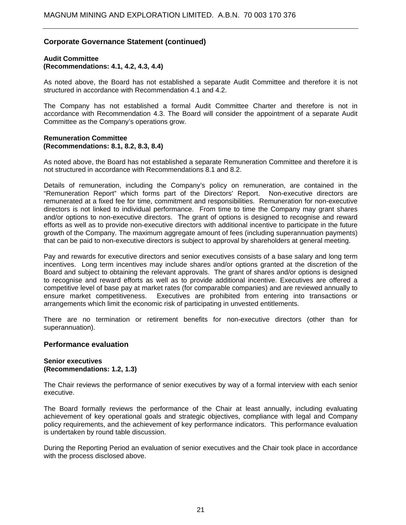#### **Audit Committee (Recommendations: 4.1, 4.2, 4.3, 4.4)**

As noted above, the Board has not established a separate Audit Committee and therefore it is not structured in accordance with Recommendation 4.1 and 4.2.

The Company has not established a formal Audit Committee Charter and therefore is not in accordance with Recommendation 4.3. The Board will consider the appointment of a separate Audit Committee as the Company's operations grow.

#### **Remuneration Committee (Recommendations: 8.1, 8.2, 8.3, 8.4)**

As noted above, the Board has not established a separate Remuneration Committee and therefore it is not structured in accordance with Recommendations 8.1 and 8.2.

Details of remuneration, including the Company's policy on remuneration, are contained in the "Remuneration Report" which forms part of the Directors' Report. Non-executive directors are remunerated at a fixed fee for time, commitment and responsibilities. Remuneration for non-executive directors is not linked to individual performance. From time to time the Company may grant shares and/or options to non-executive directors. The grant of options is designed to recognise and reward efforts as well as to provide non-executive directors with additional incentive to participate in the future growth of the Company. The maximum aggregate amount of fees (including superannuation payments) that can be paid to non-executive directors is subject to approval by shareholders at general meeting.

Pay and rewards for executive directors and senior executives consists of a base salary and long term incentives. Long term incentives may include shares and/or options granted at the discretion of the Board and subject to obtaining the relevant approvals. The grant of shares and/or options is designed to recognise and reward efforts as well as to provide additional incentive. Executives are offered a competitive level of base pay at market rates (for comparable companies) and are reviewed annually to ensure market competitiveness. Executives are prohibited from entering into transactions or arrangements which limit the economic risk of participating in unvested entitlements.

There are no termination or retirement benefits for non-executive directors (other than for superannuation).

#### **Performance evaluation**

#### **Senior executives (Recommendations: 1.2, 1.3)**

The Chair reviews the performance of senior executives by way of a formal interview with each senior executive.

The Board formally reviews the performance of the Chair at least annually, including evaluating achievement of key operational goals and strategic objectives, compliance with legal and Company policy requirements, and the achievement of key performance indicators. This performance evaluation is undertaken by round table discussion.

During the Reporting Period an evaluation of senior executives and the Chair took place in accordance with the process disclosed above.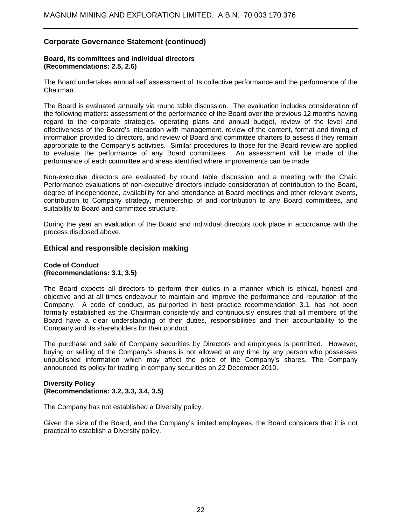### **Board, its committees and individual directors (Recommendations: 2.5, 2.6)**

The Board undertakes annual self assessment of its collective performance and the performance of the Chairman.

The Board is evaluated annually via round table discussion. The evaluation includes consideration of the following matters: assessment of the performance of the Board over the previous 12 months having regard to the corporate strategies, operating plans and annual budget, review of the level and effectiveness of the Board's interaction with management, review of the content, format and timing of information provided to directors, and review of Board and committee charters to assess if they remain appropriate to the Company's activities. Similar procedures to those for the Board review are applied to evaluate the performance of any Board committees. An assessment will be made of the performance of each committee and areas identified where improvements can be made.

Non-executive directors are evaluated by round table discussion and a meeting with the Chair. Performance evaluations of non-executive directors include consideration of contribution to the Board, degree of independence, availability for and attendance at Board meetings and other relevant events, contribution to Company strategy, membership of and contribution to any Board committees, and suitability to Board and committee structure.

During the year an evaluation of the Board and individual directors took place in accordance with the process disclosed above.

### **Ethical and responsible decision making**

#### **Code of Conduct (Recommendations: 3.1, 3.5)**

The Board expects all directors to perform their duties in a manner which is ethical, honest and objective and at all times endeavour to maintain and improve the performance and reputation of the Company. A code of conduct, as purported in best practice recommendation 3.1, has not been formally established as the Chairman consistently and continuously ensures that all members of the Board have a clear understanding of their duties, responsibilities and their accountability to the Company and its shareholders for their conduct.

The purchase and sale of Company securities by Directors and employees is permitted. However, buying or selling of the Company's shares is not allowed at any time by any person who possesses unpublished information which may affect the price of the Company's shares. The Company announced its policy for trading in company securities on 22 December 2010.

### **Diversity Policy (Recommendations: 3.2, 3.3, 3.4, 3.5)**

The Company has not established a Diversity policy.

Given the size of the Board, and the Company's limited employees, the Board considers that it is not practical to establish a Diversity policy.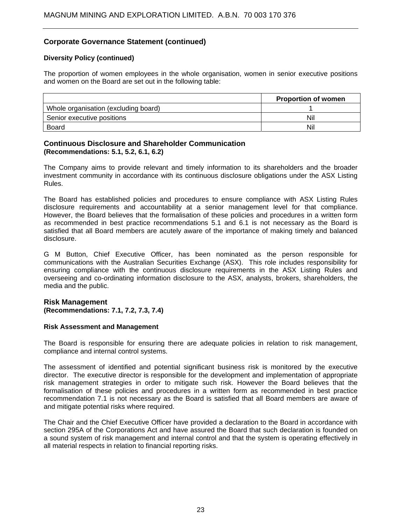### **Diversity Policy (continued)**

The proportion of women employees in the whole organisation, women in senior executive positions and women on the Board are set out in the following table:

|                                      | <b>Proportion of women</b> |
|--------------------------------------|----------------------------|
| Whole organisation (excluding board) |                            |
| Senior executive positions           | Nil                        |
| Board                                | Nil                        |

### **Continuous Disclosure and Shareholder Communication (Recommendations: 5.1, 5.2, 6.1, 6.2)**

The Company aims to provide relevant and timely information to its shareholders and the broader investment community in accordance with its continuous disclosure obligations under the ASX Listing Rules.

The Board has established policies and procedures to ensure compliance with ASX Listing Rules disclosure requirements and accountability at a senior management level for that compliance. However, the Board believes that the formalisation of these policies and procedures in a written form as recommended in best practice recommendations 5.1 and 6.1 is not necessary as the Board is satisfied that all Board members are acutely aware of the importance of making timely and balanced disclosure.

G M Button, Chief Executive Officer, has been nominated as the person responsible for communications with the Australian Securities Exchange (ASX). This role includes responsibility for ensuring compliance with the continuous disclosure requirements in the ASX Listing Rules and overseeing and co-ordinating information disclosure to the ASX, analysts, brokers, shareholders, the media and the public.

### **Risk Management (Recommendations: 7.1, 7.2, 7.3, 7.4)**

#### **Risk Assessment and Management**

The Board is responsible for ensuring there are adequate policies in relation to risk management, compliance and internal control systems.

The assessment of identified and potential significant business risk is monitored by the executive director. The executive director is responsible for the development and implementation of appropriate risk management strategies in order to mitigate such risk. However the Board believes that the formalisation of these policies and procedures in a written form as recommended in best practice recommendation 7.1 is not necessary as the Board is satisfied that all Board members are aware of and mitigate potential risks where required.

The Chair and the Chief Executive Officer have provided a declaration to the Board in accordance with section 295A of the Corporations Act and have assured the Board that such declaration is founded on a sound system of risk management and internal control and that the system is operating effectively in all material respects in relation to financial reporting risks.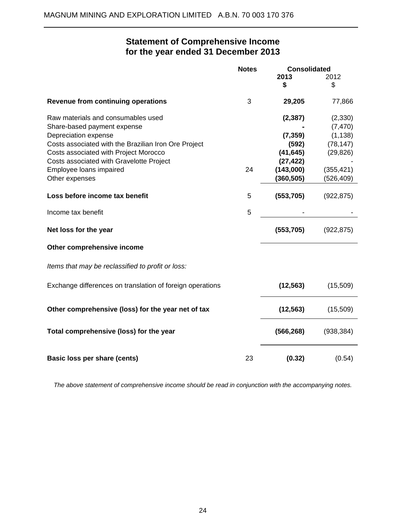$\overline{a}$ 

# **Statement of Comprehensive Income for the year ended 31 December 2013**

|                                                           | <b>Consolidated</b><br><b>Notes</b> |            |            |
|-----------------------------------------------------------|-------------------------------------|------------|------------|
|                                                           |                                     | 2013       | 2012       |
|                                                           |                                     | \$         | \$         |
| <b>Revenue from continuing operations</b>                 | 3                                   | 29,205     | 77,866     |
| Raw materials and consumables used                        |                                     | (2, 387)   | (2,330)    |
| Share-based payment expense                               |                                     |            | (7, 470)   |
| Depreciation expense                                      |                                     | (7, 359)   | (1, 138)   |
| Costs associated with the Brazilian Iron Ore Project      |                                     | (592)      | (78, 147)  |
| Costs associated with Project Morocco                     |                                     | (41, 645)  | (29, 826)  |
| Costs associated with Gravelotte Project                  |                                     | (27, 422)  |            |
| Employee loans impaired                                   | 24                                  | (143,000)  | (355, 421) |
| Other expenses                                            |                                     | (360, 505) | (526,409)  |
| Loss before income tax benefit                            | 5                                   | (553, 705) | (922, 875) |
| Income tax benefit                                        | 5                                   |            |            |
| Net loss for the year                                     |                                     | (553, 705) | (922, 875) |
| Other comprehensive income                                |                                     |            |            |
| Items that may be reclassified to profit or loss:         |                                     |            |            |
| Exchange differences on translation of foreign operations |                                     | (12, 563)  | (15,509)   |
| Other comprehensive (loss) for the year net of tax        |                                     | (12, 563)  | (15,509)   |
| Total comprehensive (loss) for the year                   |                                     | (566, 268) | (938, 384) |
| Basic loss per share (cents)                              | 23                                  | (0.32)     | (0.54)     |

*The above statement of comprehensive income should be read in conjunction with the accompanying notes.*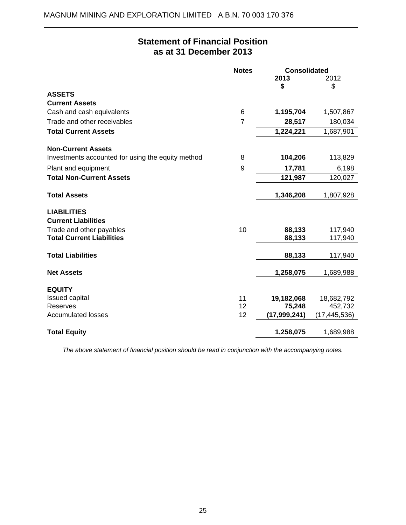$\overline{a}$ 

# **Statement of Financial Position as at 31 December 2013**

|                                                   | <b>Notes</b> | <b>Consolidated</b> |                |
|---------------------------------------------------|--------------|---------------------|----------------|
|                                                   |              | 2013<br>\$          | 2012<br>\$     |
| <b>ASSETS</b>                                     |              |                     |                |
| <b>Current Assets</b>                             |              |                     |                |
| Cash and cash equivalents                         | 6            | 1,195,704           | 1,507,867      |
| Trade and other receivables                       | 7            | 28,517              | 180,034        |
| <b>Total Current Assets</b>                       |              | 1,224,221           | 1,687,901      |
| <b>Non-Current Assets</b>                         |              |                     |                |
| Investments accounted for using the equity method | 8            | 104,206             | 113,829        |
| Plant and equipment                               | 9            | 17,781              | 6,198          |
| <b>Total Non-Current Assets</b>                   |              | 121,987             | 120,027        |
| <b>Total Assets</b>                               |              | 1,346,208           | 1,807,928      |
| <b>LIABILITIES</b>                                |              |                     |                |
| <b>Current Liabilities</b>                        |              |                     |                |
| Trade and other payables                          | 10           | 88,133              | 117,940        |
| <b>Total Current Liabilities</b>                  |              | 88,133              | 117,940        |
| <b>Total Liabilities</b>                          |              | 88,133              | 117,940        |
| <b>Net Assets</b>                                 |              | 1,258,075           | 1,689,988      |
| <b>EQUITY</b>                                     |              |                     |                |
| <b>Issued capital</b>                             | 11           | 19,182,068          | 18,682,792     |
| Reserves                                          | 12           | 75,248              | 452,732        |
| <b>Accumulated losses</b>                         | 12           | (17,999,241)        | (17, 445, 536) |
| <b>Total Equity</b>                               |              | 1,258,075           | 1,689,988      |

*The above statement of financial position should be read in conjunction with the accompanying notes.*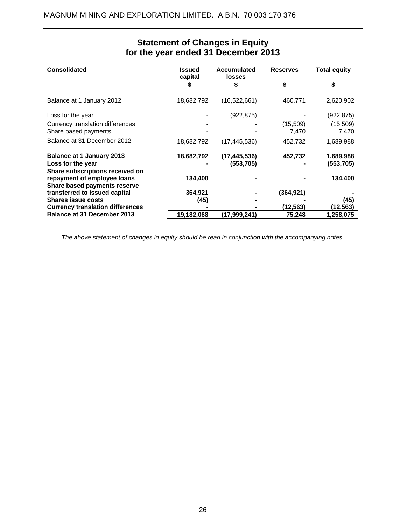| <b>Consolidated</b>                                                                            | <b>Issued</b><br>capital | <b>Accumulated</b><br><b>losses</b> | <b>Reserves</b> | <b>Total equity</b>     |
|------------------------------------------------------------------------------------------------|--------------------------|-------------------------------------|-----------------|-------------------------|
|                                                                                                | S                        | S                                   | S               | S                       |
| Balance at 1 January 2012                                                                      | 18,682,792               | (16, 522, 661)                      | 460,771         | 2,620,902               |
| Loss for the year                                                                              |                          | (922, 875)                          |                 | (922,875)               |
| Currency translation differences                                                               |                          |                                     | (15,509)        | (15,509)                |
| Share based payments                                                                           |                          |                                     | 7,470           | 7,470                   |
| Balance at 31 December 2012                                                                    | 18,682,792               | (17, 445, 536)                      | 452,732         | 1,689,988               |
| <b>Balance at 1 January 2013</b><br>Loss for the year                                          | 18,682,792               | (17, 445, 536)<br>(553, 705)        | 452,732         | 1,689,988<br>(553, 705) |
| Share subscriptions received on<br>repayment of employee loans<br>Share based payments reserve | 134,400                  |                                     |                 | 134,400                 |
| transferred to issued capital                                                                  | 364,921                  |                                     | (364, 921)      |                         |
| <b>Shares issue costs</b>                                                                      | (45)                     |                                     |                 | (45)                    |
| <b>Currency translation differences</b>                                                        |                          |                                     | (12,563)        | (12,563)                |
| Balance at 31 December 2013                                                                    | 19,182,068               | (17,999,241)                        | 75,248          | 1,258,075               |

# **Statement of Changes in Equity for the year ended 31 December 2013**

*The above statement of changes in equity should be read in conjunction with the accompanying notes.*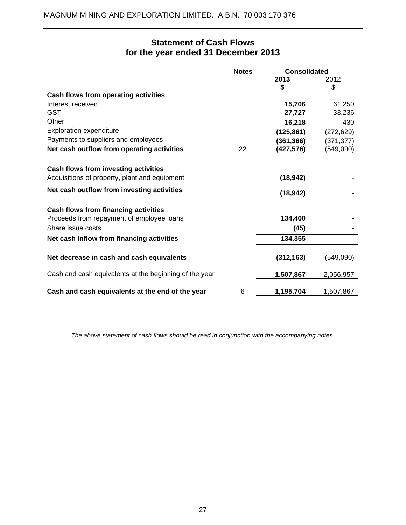# **Statement of Cash Flows for the year ended 31 December 2013**

|                                                        | <b>Notes</b> | <b>Consolidated</b> |            |
|--------------------------------------------------------|--------------|---------------------|------------|
|                                                        |              | 2013                | 2012       |
|                                                        |              | \$                  | \$         |
| Cash flows from operating activities                   |              |                     |            |
| Interest received                                      |              | 15,706              | 61,250     |
| <b>GST</b>                                             |              | 27,727              | 33,236     |
| Other                                                  |              | 16,218              | 430        |
| <b>Exploration expenditure</b>                         |              | (125, 861)          | (272, 629) |
| Payments to suppliers and employees                    |              | (361, 366)          | (371, 377) |
| Net cash outflow from operating activities             | 22           | (427, 576)          | (549,090)  |
| Cash flows from investing activities                   |              |                     |            |
| Acquisitions of property, plant and equipment          |              | (18, 942)           |            |
| Net cash outflow from investing activities             |              | (18, 942)           |            |
| Cash flows from financing activities                   |              |                     |            |
| Proceeds from repayment of employee loans              |              | 134,400             |            |
| Share issue costs                                      |              | (45)                |            |
| Net cash inflow from financing activities              |              | 134,355             |            |
| Net decrease in cash and cash equivalents              |              | (312, 163)          | (549,090)  |
| Cash and cash equivalents at the beginning of the year |              | 1,507,867           | 2,056,957  |
| Cash and cash equivalents at the end of the year       | 6            | 1,195,704           | 1,507,867  |

*The above statement of cash flows should be read in conjunction with the accompanying notes.*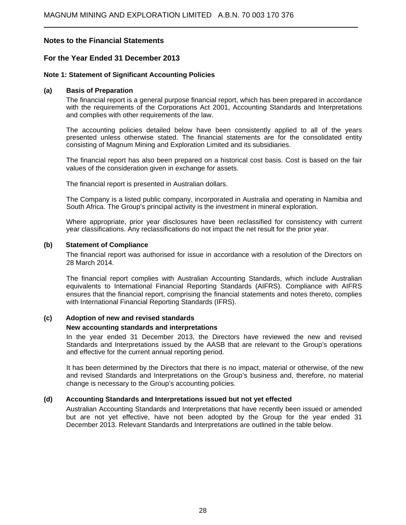### **For the Year Ended 31 December 2013**

### **Note 1: Statement of Significant Accounting Policies**

#### **(a) Basis of Preparation**

 $\overline{a}$ 

The financial report is a general purpose financial report, which has been prepared in accordance with the requirements of the Corporations Act 2001, Accounting Standards and Interpretations and complies with other requirements of the law.

The accounting policies detailed below have been consistently applied to all of the years presented unless otherwise stated. The financial statements are for the consolidated entity consisting of Magnum Mining and Exploration Limited and its subsidiaries.

The financial report has also been prepared on a historical cost basis. Cost is based on the fair values of the consideration given in exchange for assets.

The financial report is presented in Australian dollars.

The Company is a listed public company, incorporated in Australia and operating in Namibia and South Africa. The Group's principal activity is the investment in mineral exploration.

Where appropriate, prior year disclosures have been reclassified for consistency with current year classifications. Any reclassifications do not impact the net result for the prior year.

#### **(b) Statement of Compliance**

The financial report was authorised for issue in accordance with a resolution of the Directors on 28 March 2014.

The financial report complies with Australian Accounting Standards, which include Australian equivalents to International Financial Reporting Standards (AIFRS). Compliance with AIFRS ensures that the financial report, comprising the financial statements and notes thereto, complies with International Financial Reporting Standards (IFRS).

#### **(c) Adoption of new and revised standards**

#### **New accounting standards and interpretations**

In the year ended 31 December 2013, the Directors have reviewed the new and revised Standards and Interpretations issued by the AASB that are relevant to the Group's operations and effective for the current annual reporting period.

It has been determined by the Directors that there is no impact, material or otherwise, of the new and revised Standards and Interpretations on the Group's business and, therefore, no material change is necessary to the Group's accounting policies.

#### **(d) Accounting Standards and Interpretations issued but not yet effected**

Australian Accounting Standards and Interpretations that have recently been issued or amended but are not yet effective, have not been adopted by the Group for the year ended 31 December 2013. Relevant Standards and Interpretations are outlined in the table below.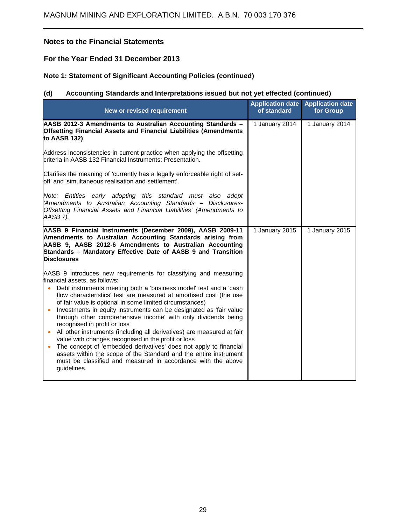### **For the Year Ended 31 December 2013**

### **Note 1: Statement of Significant Accounting Policies (continued)**

# **(d) Accounting Standards and Interpretations issued but not yet effected (continued)**

| New or revised requirement                                                                                                                                                                                                                                                                                                                                                       | <b>Application date</b><br>of standard | <b>Application date</b><br>for Group |
|----------------------------------------------------------------------------------------------------------------------------------------------------------------------------------------------------------------------------------------------------------------------------------------------------------------------------------------------------------------------------------|----------------------------------------|--------------------------------------|
| AASB 2012-3 Amendments to Australian Accounting Standards -<br>Offsetting Financial Assets and Financial Liabilities (Amendments<br>to AASB 132)                                                                                                                                                                                                                                 | 1 January 2014                         | 1 January 2014                       |
| Address inconsistencies in current practice when applying the offsetting<br>criteria in AASB 132 Financial Instruments: Presentation.                                                                                                                                                                                                                                            |                                        |                                      |
| Clarifies the meaning of 'currently has a legally enforceable right of set-<br>off' and 'simultaneous realisation and settlement'.                                                                                                                                                                                                                                               |                                        |                                      |
| Note: Entities early adopting this standard must also adopt<br>'Amendments to Australian Accounting Standards - Disclosures-<br>Offsetting Financial Assets and Financial Liabilities' (Amendments to<br>AASB 7).                                                                                                                                                                |                                        |                                      |
| AASB 9 Financial Instruments (December 2009), AASB 2009-11<br>Amendments to Australian Accounting Standards arising from<br>AASB 9, AASB 2012-6 Amendments to Australian Accounting<br>Standards - Mandatory Effective Date of AASB 9 and Transition<br><b>Disclosures</b>                                                                                                       | 1 January 2015                         | 1 January 2015                       |
| AASB 9 introduces new requirements for classifying and measuring                                                                                                                                                                                                                                                                                                                 |                                        |                                      |
| financial assets, as follows:<br>Debt instruments meeting both a 'business model' test and a 'cash<br>$\bullet$<br>flow characteristics' test are measured at amortised cost (the use<br>of fair value is optional in some limited circumstances)                                                                                                                                |                                        |                                      |
| Investments in equity instruments can be designated as 'fair value<br>$\bullet$<br>through other comprehensive income' with only dividends being<br>recognised in profit or loss                                                                                                                                                                                                 |                                        |                                      |
| All other instruments (including all derivatives) are measured at fair<br>$\bullet$<br>value with changes recognised in the profit or loss<br>The concept of 'embedded derivatives' does not apply to financial<br>$\bullet$<br>assets within the scope of the Standard and the entire instrument<br>must be classified and measured in accordance with the above<br>guidelines. |                                        |                                      |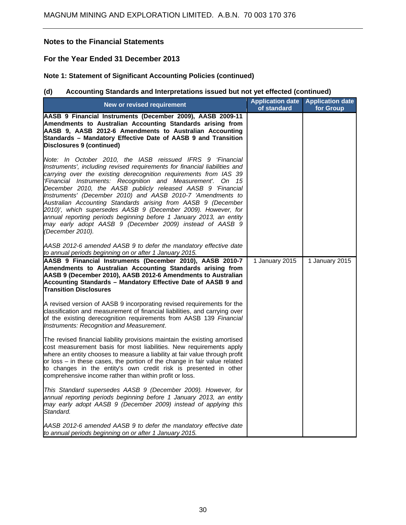### **For the Year Ended 31 December 2013**

# **Note 1: Statement of Significant Accounting Policies (continued)**

# **(d) Accounting Standards and Interpretations issued but not yet effected (continued)**

| New or revised requirement                                                                                                                                                                                                                                                                                                                                                                                                                                                                                                                                                                                                                                                                          | <b>Application date</b><br>of standard | <b>Application date</b><br>for Group |
|-----------------------------------------------------------------------------------------------------------------------------------------------------------------------------------------------------------------------------------------------------------------------------------------------------------------------------------------------------------------------------------------------------------------------------------------------------------------------------------------------------------------------------------------------------------------------------------------------------------------------------------------------------------------------------------------------------|----------------------------------------|--------------------------------------|
| AASB 9 Financial Instruments (December 2009), AASB 2009-11<br>Amendments to Australian Accounting Standards arising from<br>AASB 9, AASB 2012-6 Amendments to Australian Accounting<br>Standards - Mandatory Effective Date of AASB 9 and Transition<br>Disclosures 9 (continued)                                                                                                                                                                                                                                                                                                                                                                                                                   |                                        |                                      |
| Note: In October 2010, the IASB reissued IFRS 9 'Financial<br>Instruments', including revised requirements for financial liabilities and<br>carrying over the existing derecognition requirements from IAS 39<br>'Financial Instruments: Recognition and Measurement'. On 15<br>December 2010, the AASB publicly released AASB 9 'Financial<br>Instruments' (December 2010) and AASB 2010-7 'Amendments to<br>Australian Accounting Standards arising from AASB 9 (December<br>2010)', which supersedes AASB 9 (December 2009). However, for<br>annual reporting periods beginning before 1 January 2013, an entity<br>may early adopt AASB 9 (December 2009) instead of AASB 9<br>(December 2010). |                                        |                                      |
| AASB 2012-6 amended AASB 9 to defer the mandatory effective date<br>to annual periods beginning on or after 1 January 2015.                                                                                                                                                                                                                                                                                                                                                                                                                                                                                                                                                                         |                                        |                                      |
| AASB 9 Financial Instruments (December 2010), AASB 2010-7<br>Amendments to Australian Accounting Standards arising from<br>AASB 9 (December 2010), AASB 2012-6 Amendments to Australian<br>Accounting Standards - Mandatory Effective Date of AASB 9 and<br><b>Transition Disclosures</b>                                                                                                                                                                                                                                                                                                                                                                                                           | 1 January 2015                         | 1 January 2015                       |
| A revised version of AASB 9 incorporating revised requirements for the<br>classification and measurement of financial liabilities, and carrying over<br>of the existing derecognition requirements from AASB 139 Financial<br>Instruments: Recognition and Measurement.                                                                                                                                                                                                                                                                                                                                                                                                                             |                                        |                                      |
| The revised financial liability provisions maintain the existing amortised<br>cost measurement basis for most liabilities. New requirements apply<br>where an entity chooses to measure a liability at fair value through profit<br>or loss - in these cases, the portion of the change in fair value related<br>to changes in the entity's own credit risk is presented in other<br>comprehensive income rather than within profit or loss.                                                                                                                                                                                                                                                        |                                        |                                      |
| This Standard supersedes AASB 9 (December 2009). However, for<br>annual reporting periods beginning before 1 January 2013, an entity<br>may early adopt AASB 9 (December 2009) instead of applying this<br>Standard.                                                                                                                                                                                                                                                                                                                                                                                                                                                                                |                                        |                                      |
| AASB 2012-6 amended AASB 9 to defer the mandatory effective date<br>to annual periods beginning on or after 1 January 2015.                                                                                                                                                                                                                                                                                                                                                                                                                                                                                                                                                                         |                                        |                                      |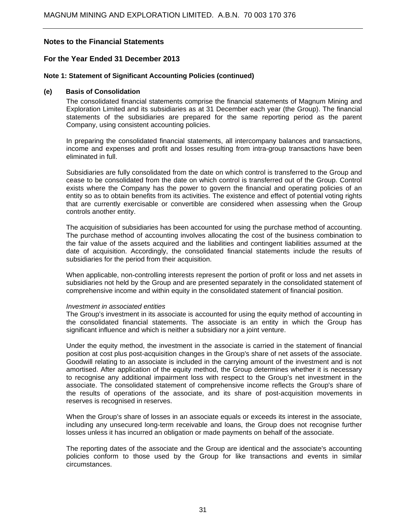### **For the Year Ended 31 December 2013**

#### **Note 1: Statement of Significant Accounting Policies (continued)**

### **(e) Basis of Consolidation**

The consolidated financial statements comprise the financial statements of Magnum Mining and Exploration Limited and its subsidiaries as at 31 December each year (the Group). The financial statements of the subsidiaries are prepared for the same reporting period as the parent Company, using consistent accounting policies.

In preparing the consolidated financial statements, all intercompany balances and transactions, income and expenses and profit and losses resulting from intra-group transactions have been eliminated in full.

Subsidiaries are fully consolidated from the date on which control is transferred to the Group and cease to be consolidated from the date on which control is transferred out of the Group. Control exists where the Company has the power to govern the financial and operating policies of an entity so as to obtain benefits from its activities. The existence and effect of potential voting rights that are currently exercisable or convertible are considered when assessing when the Group controls another entity.

The acquisition of subsidiaries has been accounted for using the purchase method of accounting. The purchase method of accounting involves allocating the cost of the business combination to the fair value of the assets acquired and the liabilities and contingent liabilities assumed at the date of acquisition. Accordingly, the consolidated financial statements include the results of subsidiaries for the period from their acquisition.

When applicable, non-controlling interests represent the portion of profit or loss and net assets in subsidiaries not held by the Group and are presented separately in the consolidated statement of comprehensive income and within equity in the consolidated statement of financial position.

#### *Investment in associated entities*

The Group's investment in its associate is accounted for using the equity method of accounting in the consolidated financial statements. The associate is an entity in which the Group has significant influence and which is neither a subsidiary nor a joint venture.

Under the equity method, the investment in the associate is carried in the statement of financial position at cost plus post-acquisition changes in the Group's share of net assets of the associate. Goodwill relating to an associate is included in the carrying amount of the investment and is not amortised. After application of the equity method, the Group determines whether it is necessary to recognise any additional impairment loss with respect to the Group's net investment in the associate. The consolidated statement of comprehensive income reflects the Group's share of the results of operations of the associate, and its share of post-acquisition movements in reserves is recognised in reserves.

When the Group's share of losses in an associate equals or exceeds its interest in the associate, including any unsecured long-term receivable and loans, the Group does not recognise further losses unless it has incurred an obligation or made payments on behalf of the associate.

The reporting dates of the associate and the Group are identical and the associate's accounting policies conform to those used by the Group for like transactions and events in similar circumstances.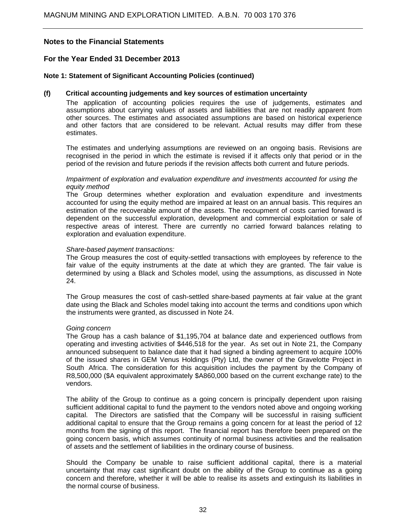### **For the Year Ended 31 December 2013**

### **Note 1: Statement of Significant Accounting Policies (continued)**

#### **(f) Critical accounting judgements and key sources of estimation uncertainty**

The application of accounting policies requires the use of judgements, estimates and assumptions about carrying values of assets and liabilities that are not readily apparent from other sources. The estimates and associated assumptions are based on historical experience and other factors that are considered to be relevant. Actual results may differ from these estimates.

The estimates and underlying assumptions are reviewed on an ongoing basis. Revisions are recognised in the period in which the estimate is revised if it affects only that period or in the period of the revision and future periods if the revision affects both current and future periods.

#### *Impairment of exploration and evaluation expenditure and investments accounted for using the equity method*

The Group determines whether exploration and evaluation expenditure and investments accounted for using the equity method are impaired at least on an annual basis. This requires an estimation of the recoverable amount of the assets. The recoupment of costs carried forward is dependent on the successful exploration, development and commercial exploitation or sale of respective areas of interest. There are currently no carried forward balances relating to exploration and evaluation expenditure.

#### *Share-based payment transactions:*

The Group measures the cost of equity-settled transactions with employees by reference to the fair value of the equity instruments at the date at which they are granted. The fair value is determined by using a Black and Scholes model, using the assumptions, as discussed in Note 24.

The Group measures the cost of cash-settled share-based payments at fair value at the grant date using the Black and Scholes model taking into account the terms and conditions upon which the instruments were granted, as discussed in Note 24.

#### *Going concern*

 The Group has a cash balance of \$1,195,704 at balance date and experienced outflows from operating and investing activities of \$446,518 for the year. As set out in Note 21, the Company announced subsequent to balance date that it had signed a binding agreement to acquire 100% of the issued shares in GEM Venus Holdings (Pty) Ltd, the owner of the Gravelotte Project in South Africa. The consideration for this acquisition includes the payment by the Company of R8,500,000 (\$A equivalent approximately \$A860,000 based on the current exchange rate) to the vendors.

 The ability of the Group to continue as a going concern is principally dependent upon raising sufficient additional capital to fund the payment to the vendors noted above and ongoing working capital. The Directors are satisfied that the Company will be successful in raising sufficient additional capital to ensure that the Group remains a going concern for at least the period of 12 months from the signing of this report. The financial report has therefore been prepared on the going concern basis, which assumes continuity of normal business activities and the realisation of assets and the settlement of liabilities in the ordinary course of business.

 Should the Company be unable to raise sufficient additional capital, there is a material uncertainty that may cast significant doubt on the ability of the Group to continue as a going concern and therefore, whether it will be able to realise its assets and extinguish its liabilities in the normal course of business.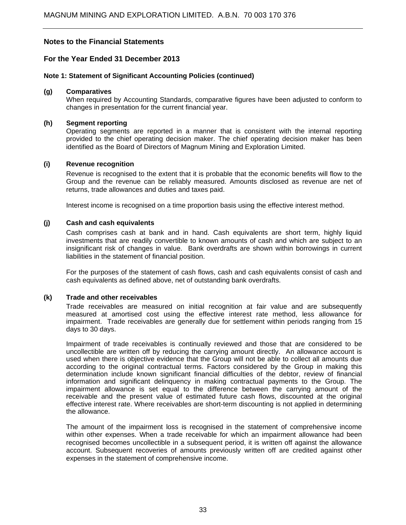### **For the Year Ended 31 December 2013**

### **Note 1: Statement of Significant Accounting Policies (continued)**

#### **(g) Comparatives**

 When required by Accounting Standards, comparative figures have been adjusted to conform to changes in presentation for the current financial year.

#### **(h) Segment reporting**

 Operating segments are reported in a manner that is consistent with the internal reporting provided to the chief operating decision maker. The chief operating decision maker has been identified as the Board of Directors of Magnum Mining and Exploration Limited.

### **(i) Revenue recognition**

 Revenue is recognised to the extent that it is probable that the economic benefits will flow to the Group and the revenue can be reliably measured. Amounts disclosed as revenue are net of returns, trade allowances and duties and taxes paid.

Interest income is recognised on a time proportion basis using the effective interest method.

### **(j) Cash and cash equivalents**

 Cash comprises cash at bank and in hand. Cash equivalents are short term, highly liquid investments that are readily convertible to known amounts of cash and which are subject to an insignificant risk of changes in value. Bank overdrafts are shown within borrowings in current liabilities in the statement of financial position.

 For the purposes of the statement of cash flows, cash and cash equivalents consist of cash and cash equivalents as defined above, net of outstanding bank overdrafts.

#### **(k) Trade and other receivables**

 Trade receivables are measured on initial recognition at fair value and are subsequently measured at amortised cost using the effective interest rate method, less allowance for impairment. Trade receivables are generally due for settlement within periods ranging from 15 days to 30 days.

 Impairment of trade receivables is continually reviewed and those that are considered to be uncollectible are written off by reducing the carrying amount directly. An allowance account is used when there is objective evidence that the Group will not be able to collect all amounts due according to the original contractual terms. Factors considered by the Group in making this determination include known significant financial difficulties of the debtor, review of financial information and significant delinquency in making contractual payments to the Group. The impairment allowance is set equal to the difference between the carrying amount of the receivable and the present value of estimated future cash flows, discounted at the original effective interest rate. Where receivables are short-term discounting is not applied in determining the allowance.

 The amount of the impairment loss is recognised in the statement of comprehensive income within other expenses. When a trade receivable for which an impairment allowance had been recognised becomes uncollectible in a subsequent period, it is written off against the allowance account. Subsequent recoveries of amounts previously written off are credited against other expenses in the statement of comprehensive income.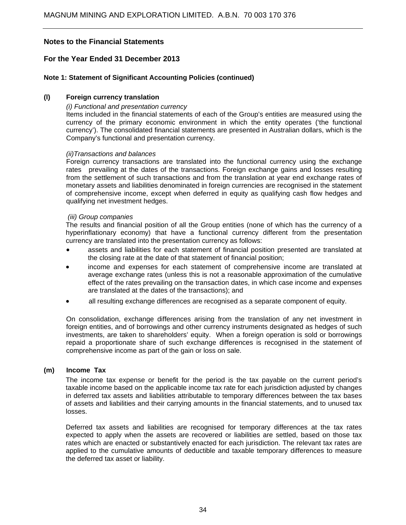### **For the Year Ended 31 December 2013**

### **Note 1: Statement of Significant Accounting Policies (continued)**

### **(l) Foreign currency translation**

#### *(i) Functional and presentation currency*

 Items included in the financial statements of each of the Group's entities are measured using the currency of the primary economic environment in which the entity operates ('the functional currency'). The consolidated financial statements are presented in Australian dollars, which is the Company's functional and presentation currency.

#### *(ii)Transactions and balances*

 Foreign currency transactions are translated into the functional currency using the exchange rates prevailing at the dates of the transactions. Foreign exchange gains and losses resulting from the settlement of such transactions and from the translation at year end exchange rates of monetary assets and liabilities denominated in foreign currencies are recognised in the statement of comprehensive income, except when deferred in equity as qualifying cash flow hedges and qualifying net investment hedges.

#### *(iii) Group companies*

The results and financial position of all the Group entities (none of which has the currency of a hyperinflationary economy) that have a functional currency different from the presentation currency are translated into the presentation currency as follows:

- assets and liabilities for each statement of financial position presented are translated at the closing rate at the date of that statement of financial position;
- income and expenses for each statement of comprehensive income are translated at average exchange rates (unless this is not a reasonable approximation of the cumulative effect of the rates prevailing on the transaction dates, in which case income and expenses are translated at the dates of the transactions); and
- all resulting exchange differences are recognised as a separate component of equity.

On consolidation, exchange differences arising from the translation of any net investment in foreign entities, and of borrowings and other currency instruments designated as hedges of such investments, are taken to shareholders' equity. When a foreign operation is sold or borrowings repaid a proportionate share of such exchange differences is recognised in the statement of comprehensive income as part of the gain or loss on sale.

#### **(m) Income Tax**

The income tax expense or benefit for the period is the tax payable on the current period's taxable income based on the applicable income tax rate for each jurisdiction adjusted by changes in deferred tax assets and liabilities attributable to temporary differences between the tax bases of assets and liabilities and their carrying amounts in the financial statements, and to unused tax losses.

Deferred tax assets and liabilities are recognised for temporary differences at the tax rates expected to apply when the assets are recovered or liabilities are settled, based on those tax rates which are enacted or substantively enacted for each jurisdiction. The relevant tax rates are applied to the cumulative amounts of deductible and taxable temporary differences to measure the deferred tax asset or liability.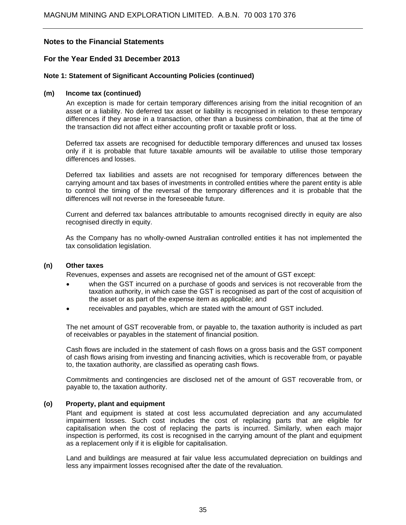### **For the Year Ended 31 December 2013**

### **Note 1: Statement of Significant Accounting Policies (continued)**

#### **(m) Income tax (continued)**

 An exception is made for certain temporary differences arising from the initial recognition of an asset or a liability. No deferred tax asset or liability is recognised in relation to these temporary differences if they arose in a transaction, other than a business combination, that at the time of the transaction did not affect either accounting profit or taxable profit or loss.

Deferred tax assets are recognised for deductible temporary differences and unused tax losses only if it is probable that future taxable amounts will be available to utilise those temporary differences and losses.

Deferred tax liabilities and assets are not recognised for temporary differences between the carrying amount and tax bases of investments in controlled entities where the parent entity is able to control the timing of the reversal of the temporary differences and it is probable that the differences will not reverse in the foreseeable future.

Current and deferred tax balances attributable to amounts recognised directly in equity are also recognised directly in equity.

As the Company has no wholly-owned Australian controlled entities it has not implemented the tax consolidation legislation.

#### **(n) Other taxes**

Revenues, expenses and assets are recognised net of the amount of GST except:

- when the GST incurred on a purchase of goods and services is not recoverable from the taxation authority, in which case the GST is recognised as part of the cost of acquisition of the asset or as part of the expense item as applicable; and
- receivables and payables, which are stated with the amount of GST included.

The net amount of GST recoverable from, or payable to, the taxation authority is included as part of receivables or payables in the statement of financial position.

Cash flows are included in the statement of cash flows on a gross basis and the GST component of cash flows arising from investing and financing activities, which is recoverable from, or payable to, the taxation authority, are classified as operating cash flows.

Commitments and contingencies are disclosed net of the amount of GST recoverable from, or payable to, the taxation authority.

#### **(o) Property, plant and equipment**

Plant and equipment is stated at cost less accumulated depreciation and any accumulated impairment losses. Such cost includes the cost of replacing parts that are eligible for capitalisation when the cost of replacing the parts is incurred. Similarly, when each major inspection is performed, its cost is recognised in the carrying amount of the plant and equipment as a replacement only if it is eligible for capitalisation.

Land and buildings are measured at fair value less accumulated depreciation on buildings and less any impairment losses recognised after the date of the revaluation.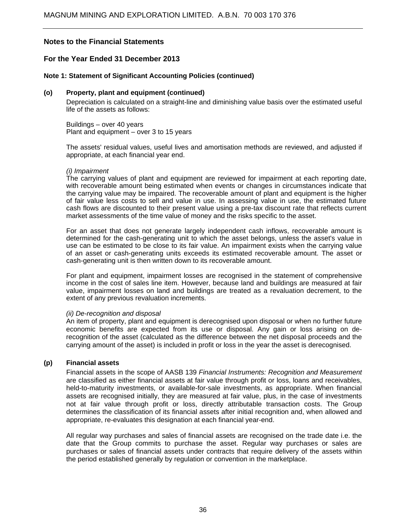### **For the Year Ended 31 December 2013**

### **Note 1: Statement of Significant Accounting Policies (continued)**

#### **(o) Property, plant and equipment (continued)**

Depreciation is calculated on a straight-line and diminishing value basis over the estimated useful life of the assets as follows:

Buildings – over 40 years Plant and equipment – over 3 to 15 years

The assets' residual values, useful lives and amortisation methods are reviewed, and adjusted if appropriate, at each financial year end.

#### *(i) Impairment*

The carrying values of plant and equipment are reviewed for impairment at each reporting date, with recoverable amount being estimated when events or changes in circumstances indicate that the carrying value may be impaired. The recoverable amount of plant and equipment is the higher of fair value less costs to sell and value in use. In assessing value in use, the estimated future cash flows are discounted to their present value using a pre-tax discount rate that reflects current market assessments of the time value of money and the risks specific to the asset.

For an asset that does not generate largely independent cash inflows, recoverable amount is determined for the cash-generating unit to which the asset belongs, unless the asset's value in use can be estimated to be close to its fair value. An impairment exists when the carrying value of an asset or cash-generating units exceeds its estimated recoverable amount. The asset or cash-generating unit is then written down to its recoverable amount.

For plant and equipment, impairment losses are recognised in the statement of comprehensive income in the cost of sales line item. However, because land and buildings are measured at fair value, impairment losses on land and buildings are treated as a revaluation decrement, to the extent of any previous revaluation increments.

#### *(ii) De-recognition and disposal*

An item of property, plant and equipment is derecognised upon disposal or when no further future economic benefits are expected from its use or disposal. Any gain or loss arising on derecognition of the asset (calculated as the difference between the net disposal proceeds and the carrying amount of the asset) is included in profit or loss in the year the asset is derecognised.

#### **(p) Financial assets**

Financial assets in the scope of AASB 139 *Financial Instruments: Recognition and Measurement*  are classified as either financial assets at fair value through profit or loss, loans and receivables, held-to-maturity investments, or available-for-sale investments, as appropriate. When financial assets are recognised initially, they are measured at fair value, plus, in the case of investments not at fair value through profit or loss, directly attributable transaction costs. The Group determines the classification of its financial assets after initial recognition and, when allowed and appropriate, re-evaluates this designation at each financial year-end.

All regular way purchases and sales of financial assets are recognised on the trade date i.e. the date that the Group commits to purchase the asset. Regular way purchases or sales are purchases or sales of financial assets under contracts that require delivery of the assets within the period established generally by regulation or convention in the marketplace.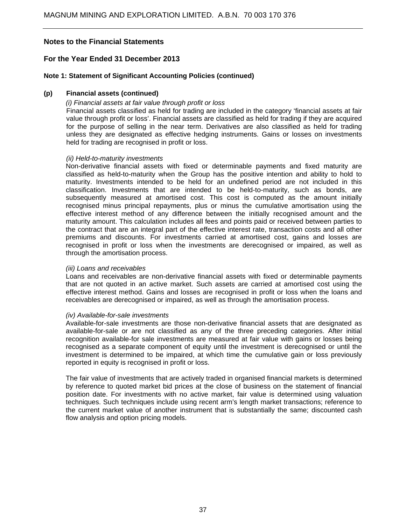### **For the Year Ended 31 December 2013**

#### **Note 1: Statement of Significant Accounting Policies (continued)**

#### **(p) Financial assets (continued)**

#### *(i) Financial assets at fair value through profit or loss*

Financial assets classified as held for trading are included in the category 'financial assets at fair value through profit or loss'. Financial assets are classified as held for trading if they are acquired for the purpose of selling in the near term. Derivatives are also classified as held for trading unless they are designated as effective hedging instruments. Gains or losses on investments held for trading are recognised in profit or loss.

#### *(ii) Held-to-maturity investments*

Non-derivative financial assets with fixed or determinable payments and fixed maturity are classified as held-to-maturity when the Group has the positive intention and ability to hold to maturity. Investments intended to be held for an undefined period are not included in this classification. Investments that are intended to be held-to-maturity, such as bonds, are subsequently measured at amortised cost. This cost is computed as the amount initially recognised minus principal repayments, plus or minus the cumulative amortisation using the effective interest method of any difference between the initially recognised amount and the maturity amount. This calculation includes all fees and points paid or received between parties to the contract that are an integral part of the effective interest rate, transaction costs and all other premiums and discounts. For investments carried at amortised cost, gains and losses are recognised in profit or loss when the investments are derecognised or impaired, as well as through the amortisation process.

#### *(iii) Loans and receivables*

Loans and receivables are non-derivative financial assets with fixed or determinable payments that are not quoted in an active market. Such assets are carried at amortised cost using the effective interest method. Gains and losses are recognised in profit or loss when the loans and receivables are derecognised or impaired, as well as through the amortisation process.

#### *(iv) Available-for-sale investments*

Available-for-sale investments are those non-derivative financial assets that are designated as available-for-sale or are not classified as any of the three preceding categories. After initial recognition available-for sale investments are measured at fair value with gains or losses being recognised as a separate component of equity until the investment is derecognised or until the investment is determined to be impaired, at which time the cumulative gain or loss previously reported in equity is recognised in profit or loss.

The fair value of investments that are actively traded in organised financial markets is determined by reference to quoted market bid prices at the close of business on the statement of financial position date. For investments with no active market, fair value is determined using valuation techniques. Such techniques include using recent arm's length market transactions; reference to the current market value of another instrument that is substantially the same; discounted cash flow analysis and option pricing models.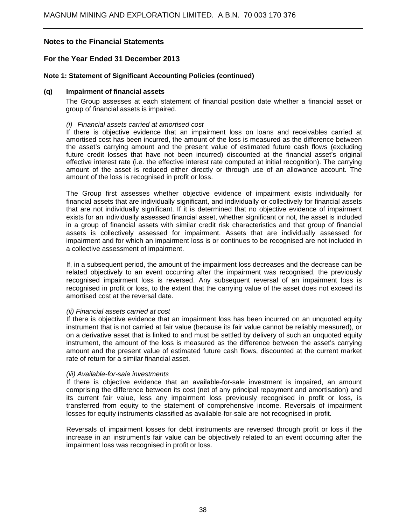### **For the Year Ended 31 December 2013**

### **Note 1: Statement of Significant Accounting Policies (continued)**

#### **(q) Impairment of financial assets**

The Group assesses at each statement of financial position date whether a financial asset or group of financial assets is impaired.

#### *(i) Financial assets carried at amortised cost*

If there is objective evidence that an impairment loss on loans and receivables carried at amortised cost has been incurred, the amount of the loss is measured as the difference between the asset's carrying amount and the present value of estimated future cash flows (excluding future credit losses that have not been incurred) discounted at the financial asset's original effective interest rate (i.e. the effective interest rate computed at initial recognition). The carrying amount of the asset is reduced either directly or through use of an allowance account. The amount of the loss is recognised in profit or loss.

The Group first assesses whether objective evidence of impairment exists individually for financial assets that are individually significant, and individually or collectively for financial assets that are not individually significant. If it is determined that no objective evidence of impairment exists for an individually assessed financial asset, whether significant or not, the asset is included in a group of financial assets with similar credit risk characteristics and that group of financial assets is collectively assessed for impairment. Assets that are individually assessed for impairment and for which an impairment loss is or continues to be recognised are not included in a collective assessment of impairment.

If, in a subsequent period, the amount of the impairment loss decreases and the decrease can be related objectively to an event occurring after the impairment was recognised, the previously recognised impairment loss is reversed. Any subsequent reversal of an impairment loss is recognised in profit or loss, to the extent that the carrying value of the asset does not exceed its amortised cost at the reversal date.

#### *(ii) Financial assets carried at cost*

If there is objective evidence that an impairment loss has been incurred on an unquoted equity instrument that is not carried at fair value (because its fair value cannot be reliably measured), or on a derivative asset that is linked to and must be settled by delivery of such an unquoted equity instrument, the amount of the loss is measured as the difference between the asset's carrying amount and the present value of estimated future cash flows, discounted at the current market rate of return for a similar financial asset.

#### *(iii) Available-for-sale investments*

If there is objective evidence that an available-for-sale investment is impaired, an amount comprising the difference between its cost (net of any principal repayment and amortisation) and its current fair value, less any impairment loss previously recognised in profit or loss, is transferred from equity to the statement of comprehensive income. Reversals of impairment losses for equity instruments classified as available-for-sale are not recognised in profit.

Reversals of impairment losses for debt instruments are reversed through profit or loss if the increase in an instrument's fair value can be objectively related to an event occurring after the impairment loss was recognised in profit or loss.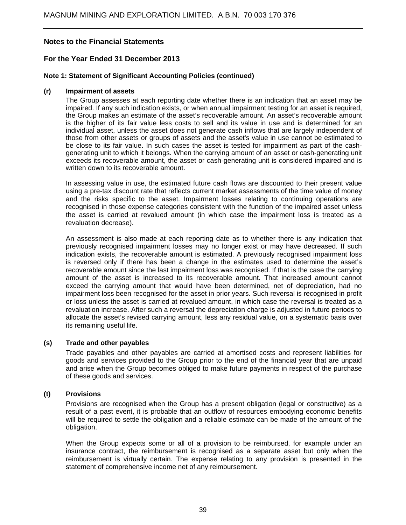### **For the Year Ended 31 December 2013**

### **Note 1: Statement of Significant Accounting Policies (continued)**

#### **(r) Impairment of assets**

The Group assesses at each reporting date whether there is an indication that an asset may be impaired. If any such indication exists, or when annual impairment testing for an asset is required, the Group makes an estimate of the asset's recoverable amount. An asset's recoverable amount is the higher of its fair value less costs to sell and its value in use and is determined for an individual asset, unless the asset does not generate cash inflows that are largely independent of those from other assets or groups of assets and the asset's value in use cannot be estimated to be close to its fair value. In such cases the asset is tested for impairment as part of the cashgenerating unit to which it belongs. When the carrying amount of an asset or cash-generating unit exceeds its recoverable amount, the asset or cash-generating unit is considered impaired and is written down to its recoverable amount.

In assessing value in use, the estimated future cash flows are discounted to their present value using a pre-tax discount rate that reflects current market assessments of the time value of money and the risks specific to the asset. Impairment losses relating to continuing operations are recognised in those expense categories consistent with the function of the impaired asset unless the asset is carried at revalued amount (in which case the impairment loss is treated as a revaluation decrease).

An assessment is also made at each reporting date as to whether there is any indication that previously recognised impairment losses may no longer exist or may have decreased. If such indication exists, the recoverable amount is estimated. A previously recognised impairment loss is reversed only if there has been a change in the estimates used to determine the asset's recoverable amount since the last impairment loss was recognised. If that is the case the carrying amount of the asset is increased to its recoverable amount. That increased amount cannot exceed the carrying amount that would have been determined, net of depreciation, had no impairment loss been recognised for the asset in prior years. Such reversal is recognised in profit or loss unless the asset is carried at revalued amount, in which case the reversal is treated as a revaluation increase. After such a reversal the depreciation charge is adjusted in future periods to allocate the asset's revised carrying amount, less any residual value, on a systematic basis over its remaining useful life.

#### **(s) Trade and other payables**

Trade payables and other payables are carried at amortised costs and represent liabilities for goods and services provided to the Group prior to the end of the financial year that are unpaid and arise when the Group becomes obliged to make future payments in respect of the purchase of these goods and services.

#### **(t) Provisions**

Provisions are recognised when the Group has a present obligation (legal or constructive) as a result of a past event, it is probable that an outflow of resources embodying economic benefits will be required to settle the obligation and a reliable estimate can be made of the amount of the obligation.

When the Group expects some or all of a provision to be reimbursed, for example under an insurance contract, the reimbursement is recognised as a separate asset but only when the reimbursement is virtually certain. The expense relating to any provision is presented in the statement of comprehensive income net of any reimbursement.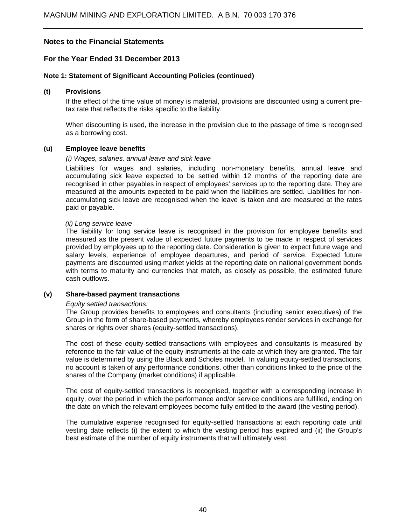### **For the Year Ended 31 December 2013**

#### **Note 1: Statement of Significant Accounting Policies (continued)**

### **(t) Provisions**

If the effect of the time value of money is material, provisions are discounted using a current pretax rate that reflects the risks specific to the liability.

When discounting is used, the increase in the provision due to the passage of time is recognised as a borrowing cost.

#### **(u) Employee leave benefits**

#### *(i) Wages, salaries, annual leave and sick leave*

Liabilities for wages and salaries, including non-monetary benefits, annual leave and accumulating sick leave expected to be settled within 12 months of the reporting date are recognised in other payables in respect of employees' services up to the reporting date. They are measured at the amounts expected to be paid when the liabilities are settled. Liabilities for nonaccumulating sick leave are recognised when the leave is taken and are measured at the rates paid or payable.

#### *(ii) Long service leave*

The liability for long service leave is recognised in the provision for employee benefits and measured as the present value of expected future payments to be made in respect of services provided by employees up to the reporting date. Consideration is given to expect future wage and salary levels, experience of employee departures, and period of service. Expected future payments are discounted using market yields at the reporting date on national government bonds with terms to maturity and currencies that match, as closely as possible, the estimated future cash outflows.

### **(v) Share-based payment transactions**

#### *Equity settled transactions:*

The Group provides benefits to employees and consultants (including senior executives) of the Group in the form of share-based payments, whereby employees render services in exchange for shares or rights over shares (equity-settled transactions).

The cost of these equity-settled transactions with employees and consultants is measured by reference to the fair value of the equity instruments at the date at which they are granted. The fair value is determined by using the Black and Scholes model. In valuing equity-settled transactions, no account is taken of any performance conditions, other than conditions linked to the price of the shares of the Company (market conditions) if applicable.

The cost of equity-settled transactions is recognised, together with a corresponding increase in equity, over the period in which the performance and/or service conditions are fulfilled, ending on the date on which the relevant employees become fully entitled to the award (the vesting period).

The cumulative expense recognised for equity-settled transactions at each reporting date until vesting date reflects (i) the extent to which the vesting period has expired and (ii) the Group's best estimate of the number of equity instruments that will ultimately vest.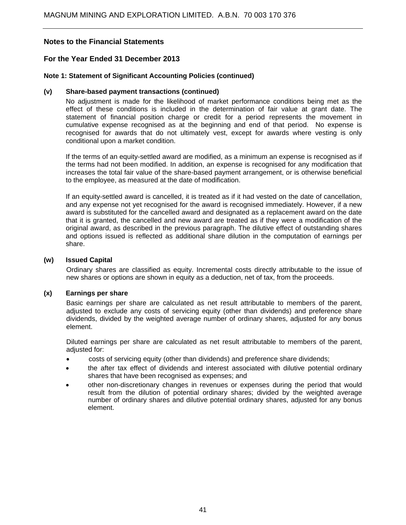### **For the Year Ended 31 December 2013**

### **Note 1: Statement of Significant Accounting Policies (continued)**

### **(v) Share-based payment transactions (continued)**

No adjustment is made for the likelihood of market performance conditions being met as the effect of these conditions is included in the determination of fair value at grant date. The statement of financial position charge or credit for a period represents the movement in cumulative expense recognised as at the beginning and end of that period. No expense is recognised for awards that do not ultimately vest, except for awards where vesting is only conditional upon a market condition.

If the terms of an equity-settled award are modified, as a minimum an expense is recognised as if the terms had not been modified. In addition, an expense is recognised for any modification that increases the total fair value of the share-based payment arrangement, or is otherwise beneficial to the employee, as measured at the date of modification.

If an equity-settled award is cancelled, it is treated as if it had vested on the date of cancellation, and any expense not yet recognised for the award is recognised immediately. However, if a new award is substituted for the cancelled award and designated as a replacement award on the date that it is granted, the cancelled and new award are treated as if they were a modification of the original award, as described in the previous paragraph. The dilutive effect of outstanding shares and options issued is reflected as additional share dilution in the computation of earnings per share.

### **(w) Issued Capital**

Ordinary shares are classified as equity. Incremental costs directly attributable to the issue of new shares or options are shown in equity as a deduction, net of tax, from the proceeds.

#### **(x) Earnings per share**

Basic earnings per share are calculated as net result attributable to members of the parent, adjusted to exclude any costs of servicing equity (other than dividends) and preference share dividends, divided by the weighted average number of ordinary shares, adjusted for any bonus element.

Diluted earnings per share are calculated as net result attributable to members of the parent, adjusted for:

- costs of servicing equity (other than dividends) and preference share dividends;
- the after tax effect of dividends and interest associated with dilutive potential ordinary shares that have been recognised as expenses; and
- other non-discretionary changes in revenues or expenses during the period that would result from the dilution of potential ordinary shares; divided by the weighted average number of ordinary shares and dilutive potential ordinary shares, adjusted for any bonus element.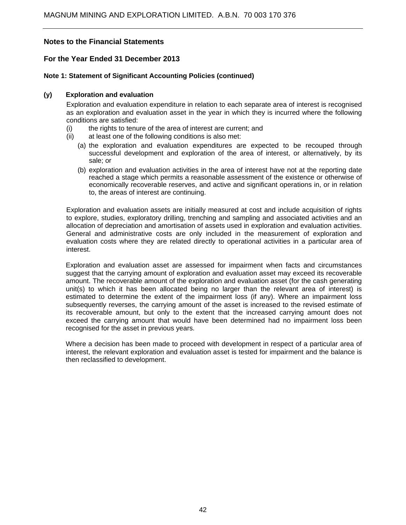### **For the Year Ended 31 December 2013**

### **Note 1: Statement of Significant Accounting Policies (continued)**

### **(y) Exploration and evaluation**

Exploration and evaluation expenditure in relation to each separate area of interest is recognised as an exploration and evaluation asset in the year in which they is incurred where the following conditions are satisfied:

- (i) the rights to tenure of the area of interest are current; and
- (ii) at least one of the following conditions is also met:
	- (a) the exploration and evaluation expenditures are expected to be recouped through successful development and exploration of the area of interest, or alternatively, by its sale; or
	- (b) exploration and evaluation activities in the area of interest have not at the reporting date reached a stage which permits a reasonable assessment of the existence or otherwise of economically recoverable reserves, and active and significant operations in, or in relation to, the areas of interest are continuing.

Exploration and evaluation assets are initially measured at cost and include acquisition of rights to explore, studies, exploratory drilling, trenching and sampling and associated activities and an allocation of depreciation and amortisation of assets used in exploration and evaluation activities. General and administrative costs are only included in the measurement of exploration and evaluation costs where they are related directly to operational activities in a particular area of interest.

Exploration and evaluation asset are assessed for impairment when facts and circumstances suggest that the carrying amount of exploration and evaluation asset may exceed its recoverable amount. The recoverable amount of the exploration and evaluation asset (for the cash generating unit(s) to which it has been allocated being no larger than the relevant area of interest) is estimated to determine the extent of the impairment loss (if any). Where an impairment loss subsequently reverses, the carrying amount of the asset is increased to the revised estimate of its recoverable amount, but only to the extent that the increased carrying amount does not exceed the carrying amount that would have been determined had no impairment loss been recognised for the asset in previous years.

Where a decision has been made to proceed with development in respect of a particular area of interest, the relevant exploration and evaluation asset is tested for impairment and the balance is then reclassified to development.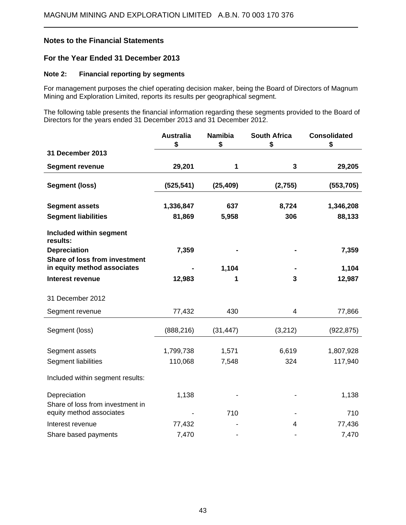$\overline{a}$ 

### **For the Year Ended 31 December 2013**

### **Note 2: Financial reporting by segments**

For management purposes the chief operating decision maker, being the Board of Directors of Magnum Mining and Exploration Limited, reports its results per geographical segment.

The following table presents the financial information regarding these segments provided to the Board of Directors for the years ended 31 December 2013 and 31 December 2012.

|                                                              | <b>Australia</b><br>\$ | <b>Namibia</b><br>\$ | <b>South Africa</b><br>\$ | <b>Consolidated</b><br>\$ |
|--------------------------------------------------------------|------------------------|----------------------|---------------------------|---------------------------|
| 31 December 2013                                             |                        |                      |                           |                           |
| <b>Segment revenue</b>                                       | 29,201                 | 1                    | 3                         | 29,205                    |
| <b>Segment (loss)</b>                                        | (525, 541)             | (25, 409)            | (2,755)                   | (553, 705)                |
| <b>Segment assets</b>                                        | 1,336,847              | 637                  | 8,724                     | 1,346,208                 |
| <b>Segment liabilities</b>                                   | 81,869                 | 5,958                | 306                       | 88,133                    |
| <b>Included within segment</b><br>results:                   |                        |                      |                           |                           |
| <b>Depreciation</b>                                          | 7,359                  |                      |                           | 7,359                     |
| Share of loss from investment<br>in equity method associates |                        | 1,104                |                           | 1,104                     |
| <b>Interest revenue</b>                                      | 12,983                 | 1                    | 3                         | 12,987                    |
| 31 December 2012                                             |                        |                      |                           |                           |
| Segment revenue                                              | 77,432                 | 430                  | 4                         | 77,866                    |
| Segment (loss)                                               | (888, 216)             | (31, 447)            | (3,212)                   | (922, 875)                |
| Segment assets                                               | 1,799,738              | 1,571                | 6,619                     | 1,807,928                 |
| Segment liabilities                                          | 110,068                | 7,548                | 324                       | 117,940                   |
| Included within segment results:                             |                        |                      |                           |                           |
| Depreciation<br>Share of loss from investment in             | 1,138                  |                      |                           | 1,138                     |
| equity method associates                                     |                        | 710                  |                           | 710                       |
| Interest revenue                                             | 77,432                 |                      | 4                         | 77,436                    |
| Share based payments                                         | 7,470                  |                      |                           | 7,470                     |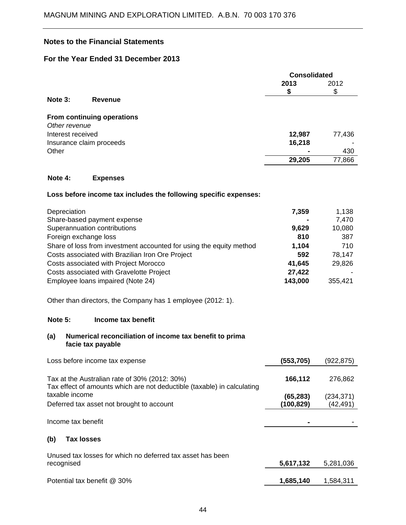# **For the Year Ended 31 December 2013**

|                   |                            | <b>Consolidated</b> |        |
|-------------------|----------------------------|---------------------|--------|
|                   |                            | 2013                | 2012   |
|                   |                            | \$                  | D      |
| Note 3:           | <b>Revenue</b>             |                     |        |
|                   | From continuing operations |                     |        |
| Other revenue     |                            |                     |        |
| Interest received |                            | 12,987              | 77,436 |
|                   | Insurance claim proceeds   | 16,218              |        |
| Other             |                            |                     | 430    |
|                   |                            | 29,205              | 77,866 |
|                   |                            |                     |        |

### **Note 4: Expenses**

### **Loss before income tax includes the following specific expenses:**

| Depreciation                                                        | 7,359   | 1,138   |
|---------------------------------------------------------------------|---------|---------|
| Share-based payment expense                                         |         | 7,470   |
| Superannuation contributions                                        | 9,629   | 10,080  |
| Foreign exchange loss                                               | 810     | 387     |
| Share of loss from investment accounted for using the equity method | 1,104   | 710     |
| Costs associated with Brazilian Iron Ore Project                    | 592     | 78,147  |
| Costs associated with Project Morocco                               | 41,645  | 29,826  |
| Costs associated with Gravelotte Project                            | 27,422  |         |
| Employee loans impaired (Note 24)                                   | 143,000 | 355,421 |

Other than directors, the Company has 1 employee (2012: 1).

#### **Note 5: Income tax benefit**

### **(a) Numerical reconciliation of income tax benefit to prima facie tax payable**

| Loss before income tax expense                                                                                           | (553,705) | (922,875)  |
|--------------------------------------------------------------------------------------------------------------------------|-----------|------------|
| Tax at the Australian rate of 30% (2012: 30%)<br>Tax effect of amounts which are not deductible (taxable) in calculating | 166,112   | 276,862    |
| taxable income                                                                                                           | (65, 283) | (234, 371) |
| Deferred tax asset not brought to account                                                                                | (100,829) | (42,491)   |
| Income tax benefit                                                                                                       |           |            |
| (b)<br><b>Tax losses</b>                                                                                                 |           |            |
| Unused tax losses for which no deferred tax asset has been                                                               |           |            |
| recognised                                                                                                               | 5,617,132 | 5,281,036  |
|                                                                                                                          |           |            |
| Potential tax benefit @ 30%                                                                                              | 1,685,140 | 1,584,311  |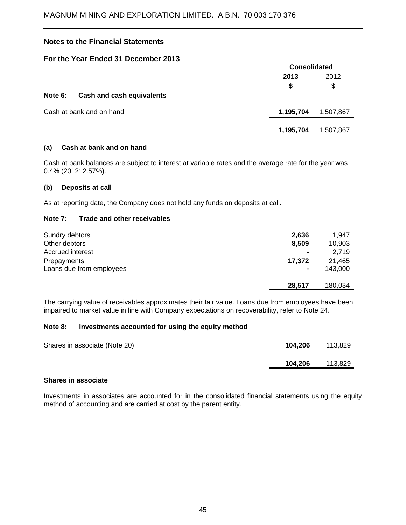### **For the Year Ended 31 December 2013**

|         |                           | <b>Consolidated</b> |           |
|---------|---------------------------|---------------------|-----------|
|         |                           | 2013                | 2012      |
|         |                           | \$                  | \$        |
| Note 6: | Cash and cash equivalents |                     |           |
|         | Cash at bank and on hand  | 1,195,704           | 1,507,867 |
|         |                           | 1,195,704           | 1,507,867 |
|         |                           |                     |           |

### **(a) Cash at bank and on hand**

Cash at bank balances are subject to interest at variable rates and the average rate for the year was 0.4% (2012: 2.57%).

### **(b) Deposits at call**

As at reporting date, the Company does not hold any funds on deposits at call.

### **Note 7: Trade and other receivables**

| Sundry debtors           | 2,636  | 1.947   |
|--------------------------|--------|---------|
| Other debtors            | 8,509  | 10,903  |
| Accrued interest         |        | 2.719   |
| Prepayments              | 17,372 | 21.465  |
| Loans due from employees |        | 143,000 |
|                          |        |         |
|                          | 28.517 | 180,034 |

The carrying value of receivables approximates their fair value. Loans due from employees have been impaired to market value in line with Company expectations on recoverability, refer to Note 24.

#### **Note 8: Investments accounted for using the equity method**

| Shares in associate (Note 20) | 104,206 | 113.829 |
|-------------------------------|---------|---------|
|                               | 104,206 | 113,829 |

### **Shares in associate**

Investments in associates are accounted for in the consolidated financial statements using the equity method of accounting and are carried at cost by the parent entity.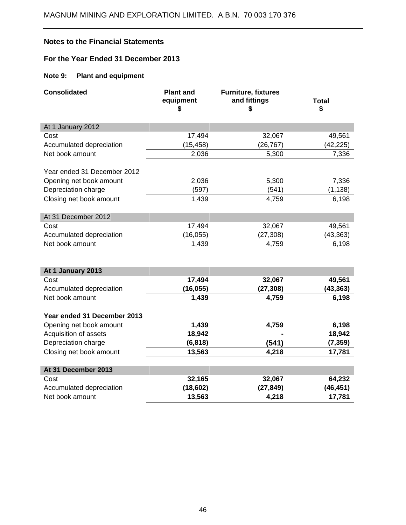# **For the Year Ended 31 December 2013**

# **Note 9: Plant and equipment**

| <b>Consolidated</b>                              | <b>Plant and</b><br>equipment<br>\$ | <b>Furniture, fixtures</b><br>and fittings<br>\$ | <b>Total</b><br>\$ |
|--------------------------------------------------|-------------------------------------|--------------------------------------------------|--------------------|
|                                                  |                                     |                                                  |                    |
| At 1 January 2012                                |                                     |                                                  |                    |
| Cost                                             | 17,494                              | 32,067                                           | 49,561             |
| Accumulated depreciation                         | (15, 458)                           | (26, 767)                                        | (42,225)           |
| Net book amount                                  | 2,036                               | 5,300                                            | 7,336              |
| Year ended 31 December 2012                      |                                     |                                                  |                    |
| Opening net book amount                          | 2,036                               | 5,300                                            | 7,336              |
| Depreciation charge                              | (597)                               | (541)                                            | (1, 138)           |
| Closing net book amount                          | 1,439                               | 4,759                                            | 6,198              |
|                                                  |                                     |                                                  |                    |
| At 31 December 2012                              |                                     |                                                  |                    |
| Cost                                             | 17,494                              | 32,067                                           | 49,561             |
| Accumulated depreciation                         | (16, 055)                           | (27, 308)                                        | (43, 363)          |
| Net book amount                                  | 1,439                               | 4,759                                            | 6,198              |
|                                                  |                                     |                                                  |                    |
| At 1 January 2013                                |                                     |                                                  |                    |
| Cost                                             | 17,494                              | 32,067                                           | 49,561             |
| Accumulated depreciation                         | (16, 055)                           | (27, 308)                                        | (43, 363)          |
| Net book amount                                  | 1,439                               | 4,759                                            | 6,198              |
|                                                  |                                     |                                                  |                    |
| Year ended 31 December 2013                      |                                     |                                                  |                    |
| Opening net book amount<br>Acquisition of assets | 1,439<br>18,942                     | 4,759                                            | 6,198<br>18,942    |
| Depreciation charge                              | (6, 818)                            |                                                  | (7, 359)           |
|                                                  | 13,563                              | (541)<br>4,218                                   |                    |
| Closing net book amount                          |                                     |                                                  | 17,781             |
| At 31 December 2013                              |                                     |                                                  |                    |
| Cost                                             | 32,165                              | 32,067                                           | 64,232             |
| Accumulated depreciation                         | (18, 602)                           | (27, 849)                                        | (46, 451)          |
| Net book amount                                  | 13,563                              | 4,218                                            | 17,781             |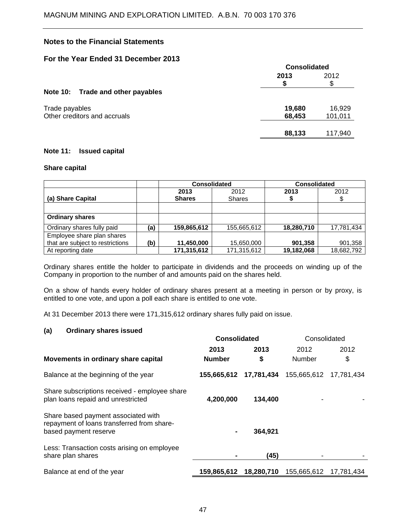### **For the Year Ended 31 December 2013**

| TUL UR TUGH ENGGU UT DUUGHDU LUTU | <b>Consolidated</b> |           |
|-----------------------------------|---------------------|-----------|
|                                   | 2013                | 2012<br>S |
| Note 10: Trade and other payables |                     |           |
| Trade payables                    | 19,680              | 16,929    |
| Other creditors and accruals      | 68,453              | 101,011   |
|                                   | 88,133              | 117,940   |

### **Note 11: Issued capital**

### **Share capital**

|                                                                |     | <b>Consolidated</b>   |                       | <b>Consolidated</b> |            |
|----------------------------------------------------------------|-----|-----------------------|-----------------------|---------------------|------------|
| (a) Share Capital                                              |     | 2013<br><b>Shares</b> | 2012<br><b>Shares</b> | 2013                | 2012       |
|                                                                |     |                       |                       |                     |            |
| <b>Ordinary shares</b>                                         |     |                       |                       |                     |            |
| Ordinary shares fully paid                                     | (a) | 159,865,612           | 155,665,612           | 18,280,710          | 17,781,434 |
| Employee share plan shares<br>that are subject to restrictions | (b) | 11,450,000            | 15,650,000            | 901,358             | 901,358    |
| At reporting date                                              |     | 171,315,612           | 171,315,612           | 19,182,068          | 18,682,792 |

Ordinary shares entitle the holder to participate in dividends and the proceeds on winding up of the Company in proportion to the number of and amounts paid on the shares held.

On a show of hands every holder of ordinary shares present at a meeting in person or by proxy, is entitled to one vote, and upon a poll each share is entitled to one vote.

At 31 December 2013 there were 171,315,612 ordinary shares fully paid on issue.

### **(a) Ordinary shares issued**

|                                                                                                            | <b>Consolidated</b> |            | Consolidated  |            |
|------------------------------------------------------------------------------------------------------------|---------------------|------------|---------------|------------|
|                                                                                                            | 2013                | 2013       | 2012          | 2012       |
| Movements in ordinary share capital                                                                        | <b>Number</b>       | \$         | <b>Number</b> | \$         |
| Balance at the beginning of the year                                                                       | 155,665,612         | 17,781,434 | 155,665,612   | 17,781,434 |
| Share subscriptions received - employee share<br>plan loans repaid and unrestricted                        | 4,200,000           | 134,400    |               |            |
| Share based payment associated with<br>repayment of loans transferred from share-<br>based payment reserve | ۰                   | 364,921    |               |            |
| Less: Transaction costs arising on employee<br>share plan shares                                           |                     | (45)       |               |            |
| Balance at end of the year                                                                                 | 159,865,612         | 18,280,710 | 155,665,612   | 17,781,434 |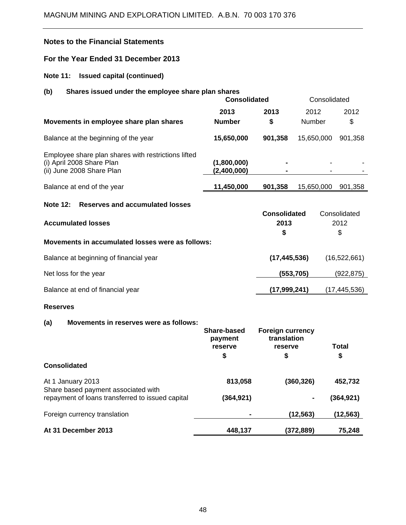# **For the Year Ended 31 December 2013**

# **Note 11: Issued capital (continued)**

# **(b) Shares issued under the employee share plan shares**

|                                                                                                               | <b>Consolidated</b>        |                     | Consolidated  |              |
|---------------------------------------------------------------------------------------------------------------|----------------------------|---------------------|---------------|--------------|
|                                                                                                               | 2013                       | 2013                | 2012          | 2012         |
| Movements in employee share plan shares                                                                       | <b>Number</b>              | \$                  | <b>Number</b> | \$           |
| Balance at the beginning of the year                                                                          | 15,650,000                 | 901,358             | 15,650,000    | 901,358      |
| Employee share plan shares with restrictions lifted<br>(i) April 2008 Share Plan<br>(ii) June 2008 Share Plan | (1,800,000)<br>(2,400,000) |                     |               |              |
| Balance at end of the year                                                                                    | 11,450,000                 | 901,358             | 15,650,000    | 901,358      |
| Reserves and accumulated losses<br><b>Note 12:</b>                                                            |                            |                     |               |              |
|                                                                                                               |                            | <b>Consolidated</b> |               | Consolidated |
| <b>Accumulated losses</b>                                                                                     |                            | 2013                |               | 2012         |
|                                                                                                               |                            | \$                  |               | \$           |
| Movements in accumulated losses were as follows:                                                              |                            |                     |               |              |

| Balance at beginning of financial year | (17, 445, 536) | (16, 522, 661) |
|----------------------------------------|----------------|----------------|
| Net loss for the year                  | (553, 705)     | (922, 875)     |
| Balance at end of financial year       | (17,999,241)   | (17, 445, 536) |

### **Reserves**

### **(a) Movements in reserves were as follows:**

|                                                          | Share-based<br>payment<br>reserve<br>\$ | <b>Foreign currency</b><br>translation<br>reserve<br>\$ | Total<br>\$ |
|----------------------------------------------------------|-----------------------------------------|---------------------------------------------------------|-------------|
| <b>Consolidated</b>                                      |                                         |                                                         |             |
| At 1 January 2013<br>Share based payment associated with | 813,058                                 | (360, 326)                                              | 452,732     |
| repayment of loans transferred to issued capital         | (364,921)                               |                                                         | (364, 921)  |
| Foreign currency translation                             | ٠                                       | (12, 563)                                               | (12,563)    |
| At 31 December 2013                                      | 448,137                                 | (372,889)                                               | 75.248      |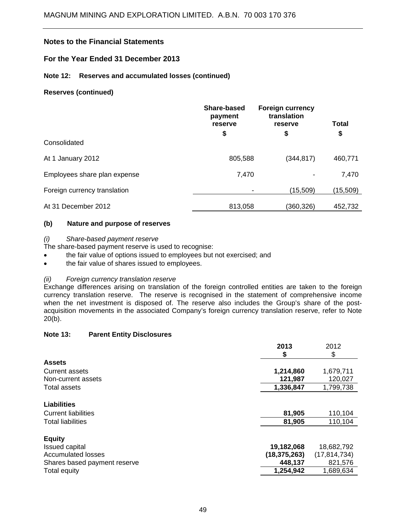### **For the Year Ended 31 December 2013**

### **Note 12: Reserves and accumulated losses (continued)**

### **Reserves (continued)**

|                              | Share-based<br>payment<br>reserve<br>\$ | <b>Foreign currency</b><br>translation<br>reserve<br>\$ | <b>Total</b><br>\$ |
|------------------------------|-----------------------------------------|---------------------------------------------------------|--------------------|
| Consolidated                 |                                         |                                                         |                    |
| At 1 January 2012            | 805,588                                 | (344, 817)                                              | 460,771            |
| Employees share plan expense | 7,470                                   |                                                         | 7,470              |
| Foreign currency translation |                                         | (15,509)                                                | (15, 509)          |
| At 31 December 2012          | 813,058                                 | (360,326)                                               | 452,732            |

### **(b) Nature and purpose of reserves**

### *(i) Share-based payment reserve*

The share-based payment reserve is used to recognise:

- the fair value of options issued to employees but not exercised; and
- the fair value of shares issued to employees.

### *(ii) Foreign currency translation reserve*

Exchange differences arising on translation of the foreign controlled entities are taken to the foreign currency translation reserve. The reserve is recognised in the statement of comprehensive income when the net investment is disposed of. The reserve also includes the Group's share of the postacquisition movements in the associated Company's foreign currency translation reserve, refer to Note 20(b).

### **Note 13: Parent Entity Disclosures**

|                              | 2013           | 2012           |
|------------------------------|----------------|----------------|
|                              | S              | \$             |
| <b>Assets</b>                |                |                |
| <b>Current assets</b>        | 1,214,860      | 1,679,711      |
| Non-current assets           | 121,987        | 120,027        |
| Total assets                 | 1,336,847      | 1,799,738      |
| <b>Liabilities</b>           |                |                |
| <b>Current liabilities</b>   | 81,905         | 110,104        |
| <b>Total liabilities</b>     | 81,905         | 110,104        |
| <b>Equity</b>                |                |                |
| <b>Issued capital</b>        | 19,182,068     | 18,682,792     |
| Accumulated losses           | (18, 375, 263) | (17, 814, 734) |
| Shares based payment reserve | 448,137        | 821,576        |
| Total equity                 | 1,254,942      | 1,689,634      |
|                              |                |                |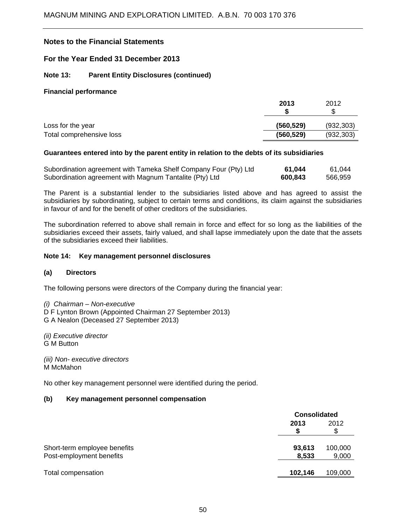### **For the Year Ended 31 December 2013**

### **Note 13: Parent Entity Disclosures (continued)**

#### **Financial performance**

|                          | 2013       | 2012       |
|--------------------------|------------|------------|
|                          |            | S          |
| Loss for the year        | (560, 529) | (932, 303) |
| Total comprehensive loss | (560, 529) | (932, 303) |

### **Guarantees entered into by the parent entity in relation to the debts of its subsidiaries**

| Subordination agreement with Tameka Shelf Company Four (Pty) Ltd | 61,044  | 61,044  |
|------------------------------------------------------------------|---------|---------|
| Subordination agreement with Magnum Tantalite (Pty) Ltd          | 600,843 | 566,959 |

The Parent is a substantial lender to the subsidiaries listed above and has agreed to assist the subsidiaries by subordinating, subject to certain terms and conditions, its claim against the subsidiaries in favour of and for the benefit of other creditors of the subsidiaries.

The subordination referred to above shall remain in force and effect for so long as the liabilities of the subsidiaries exceed their assets, fairly valued, and shall lapse immediately upon the date that the assets of the subsidiaries exceed their liabilities.

### **Note 14: Key management personnel disclosures**

#### **(a) Directors**

The following persons were directors of the Company during the financial year:

*(i) Chairman – Non-executive* D F Lynton Brown (Appointed Chairman 27 September 2013) G A Nealon (Deceased 27 September 2013)

*(ii) Executive director* G M Button

*(iii) Non- executive directors*  M McMahon

No other key management personnel were identified during the period.

#### **(b) Key management personnel compensation**

|                                                          | <b>Consolidated</b> |                  |  |
|----------------------------------------------------------|---------------------|------------------|--|
|                                                          | 2013                | 2012<br>S        |  |
| Short-term employee benefits<br>Post-employment benefits | 93,613<br>8,533     | 100,000<br>9,000 |  |
| Total compensation                                       | 102,146             | 109,000          |  |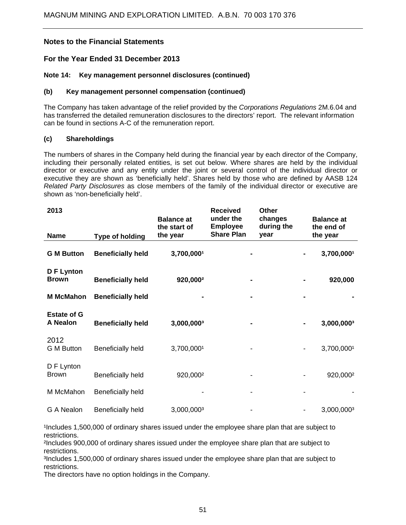### **For the Year Ended 31 December 2013**

### **Note 14: Key management personnel disclosures (continued)**

#### **(b) Key management personnel compensation (continued)**

The Company has taken advantage of the relief provided by the *Corporations Regulations* 2M.6.04 and has transferred the detailed remuneration disclosures to the directors' report. The relevant information can be found in sections A-C of the remuneration report.

### **(c) Shareholdings**

The numbers of shares in the Company held during the financial year by each director of the Company, including their personally related entities, is set out below. Where shares are held by the individual director or executive and any entity under the joint or several control of the individual director or executive they are shown as 'beneficially held'. Shares held by those who are defined by AASB 124 *Related Party Disclosures* as close members of the family of the individual director or executive are shown as 'non-beneficially held'.

| 2013<br><b>Name</b>              | <b>Type of holding</b>   | <b>Balance at</b><br>the start of<br>the year | <b>Received</b><br>under the<br><b>Employee</b><br><b>Share Plan</b> | <b>Other</b><br>changes<br>during the<br>year |   | <b>Balance at</b><br>the end of<br>the year |
|----------------------------------|--------------------------|-----------------------------------------------|----------------------------------------------------------------------|-----------------------------------------------|---|---------------------------------------------|
| <b>G M Button</b>                | <b>Beneficially held</b> | 3,700,0001                                    |                                                                      |                                               |   | 3,700,0001                                  |
| <b>DF</b> Lynton<br><b>Brown</b> | <b>Beneficially held</b> | 920,000 <sup>2</sup>                          |                                                                      |                                               |   | 920,000                                     |
| <b>M</b> McMahon                 | <b>Beneficially held</b> |                                               |                                                                      |                                               |   |                                             |
| <b>Estate of G</b><br>A Nealon   | <b>Beneficially held</b> | 3,000,0003                                    |                                                                      |                                               |   | 3,000,0003                                  |
| 2012<br><b>G</b> M Button        | <b>Beneficially held</b> | 3,700,0001                                    |                                                                      |                                               | ٠ | 3,700,0001                                  |
| D F Lynton<br><b>Brown</b>       | <b>Beneficially held</b> | 920,000 <sup>2</sup>                          |                                                                      |                                               |   | 920,000 <sup>2</sup>                        |
| M McMahon                        | Beneficially held        |                                               |                                                                      |                                               |   |                                             |
| G A Nealon                       | <b>Beneficially held</b> | 3,000,0003                                    |                                                                      |                                               |   | 3,000,0003                                  |

Includes 1,500,000 of ordinary shares issued under the employee share plan that are subject to restrictions.

²Includes 900,000 of ordinary shares issued under the employee share plan that are subject to restrictions.

3Includes 1,500,000 of ordinary shares issued under the employee share plan that are subject to restrictions.

The directors have no option holdings in the Company.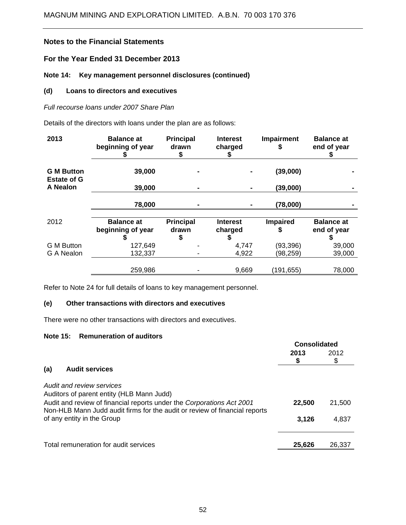### **For the Year Ended 31 December 2013**

### **Note 14: Key management personnel disclosures (continued)**

### **(d) Loans to directors and executives**

### *Full recourse loans under 2007 Share Plan*

Details of the directors with loans under the plan are as follows:

| 2013                                    | <b>Balance at</b><br>beginning of year | <b>Principal</b><br>drawn<br>S | <b>Interest</b><br>charged | Impairment           | <b>Balance at</b><br>end of year |
|-----------------------------------------|----------------------------------------|--------------------------------|----------------------------|----------------------|----------------------------------|
| <b>G M Button</b><br><b>Estate of G</b> | 39,000                                 |                                |                            | (39,000)             |                                  |
| <b>A Nealon</b>                         | 39,000                                 |                                |                            | (39,000)             |                                  |
|                                         | 78,000                                 |                                |                            | (78,000)             |                                  |
| 2012                                    | <b>Balance at</b><br>beginning of year | <b>Principal</b><br>drawn      | <b>Interest</b><br>charged | <b>Impaired</b><br>S | <b>Balance at</b><br>end of year |
| <b>G</b> M Button                       | 127,649                                |                                | 4,747                      | (93, 396)            | 39,000                           |
| G A Nealon                              | 132,337                                |                                | 4,922                      | (98,259)             | 39,000                           |
|                                         | 259,986                                |                                | 9,669                      | (191,655)            | 78,000                           |

Refer to Note 24 for full details of loans to key management personnel.

### **(e) Other transactions with directors and executives**

There were no other transactions with directors and executives.

### **Note 15: Remuneration of auditors**

|                                                                                                                                                     | <b>Consolidated</b> |        |
|-----------------------------------------------------------------------------------------------------------------------------------------------------|---------------------|--------|
|                                                                                                                                                     | 2013                | 2012   |
| (a)<br><b>Audit services</b>                                                                                                                        |                     |        |
| Audit and review services<br>Auditors of parent entity (HLB Mann Judd)                                                                              |                     |        |
| Audit and review of financial reports under the Corporations Act 2001<br>Non-HLB Mann Judd audit firms for the audit or review of financial reports | 22,500              | 21,500 |
| of any entity in the Group                                                                                                                          | 3.126               | 4,837  |
| Total remuneration for audit services                                                                                                               | 25,626              | 26,337 |
|                                                                                                                                                     |                     |        |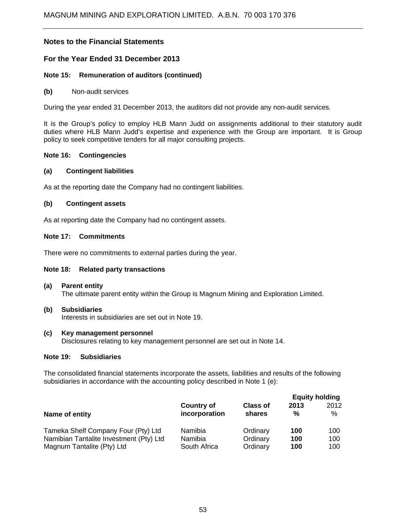### **For the Year Ended 31 December 2013**

### **Note 15: Remuneration of auditors (continued)**

#### **(b)** Non-audit services

During the year ended 31 December 2013, the auditors did not provide any non-audit services.

It is the Group's policy to employ HLB Mann Judd on assignments additional to their statutory audit duties where HLB Mann Judd's expertise and experience with the Group are important. It is Group policy to seek competitive tenders for all major consulting projects.

#### **Note 16: Contingencies**

#### **(a) Contingent liabilities**

As at the reporting date the Company had no contingent liabilities.

### **(b) Contingent assets**

As at reporting date the Company had no contingent assets.

### **Note 17: Commitments**

There were no commitments to external parties during the year.

#### **Note 18: Related party transactions**

- **(a) Parent entity**  The ultimate parent entity within the Group is Magnum Mining and Exploration Limited.
- **(b) Subsidiaries**  Interests in subsidiaries are set out in Note 19.
- **(c) Key management personnel**  Disclosures relating to key management personnel are set out in Note 14.

### **Note 19: Subsidiaries**

The consolidated financial statements incorporate the assets, liabilities and results of the following subsidiaries in accordance with the accounting policy described in Note 1 (e):

|                                         |                                    |                           | <b>Equity holding</b> |              |
|-----------------------------------------|------------------------------------|---------------------------|-----------------------|--------------|
| Name of entity                          | <b>Country of</b><br>incorporation | <b>Class of</b><br>shares | 2013<br>%             | 2012<br>$\%$ |
| Tameka Shelf Company Four (Pty) Ltd     | Namibia                            | Ordinary                  | 100                   | 100          |
| Namibian Tantalite Investment (Pty) Ltd | Namibia                            | Ordinary                  | 100                   | 100          |
| Magnum Tantalite (Pty) Ltd              | South Africa                       | Ordinary                  | 100                   | 100          |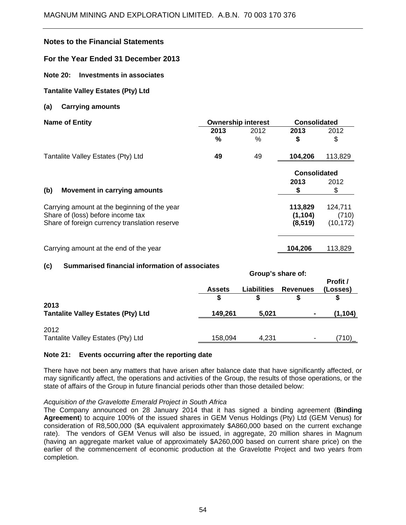**For the Year Ended 31 December 2013** 

**Note 20: Investments in associates** 

### **Tantalite Valley Estates (Pty) Ltd**

### **(a) Carrying amounts**

| <b>Name of Entity</b>                         |      | <b>Ownership interest</b> | <b>Consolidated</b> |           |
|-----------------------------------------------|------|---------------------------|---------------------|-----------|
|                                               | 2013 | 2012                      | 2013                | 2012      |
|                                               | %    | %                         | \$                  | \$        |
| Tantalite Valley Estates (Pty) Ltd            | 49   | 49                        | 104,206             | 113,829   |
|                                               |      |                           | <b>Consolidated</b> |           |
|                                               |      |                           | 2013                | 2012      |
| (b)<br>Movement in carrying amounts           |      |                           | 5                   | \$        |
| Carrying amount at the beginning of the year  |      |                           | 113,829             | 124,711   |
| Share of (loss) before income tax             |      |                           | (1, 104)            | (710)     |
| Share of foreign currency translation reserve |      |                           | (8, 519)            | (10, 172) |
| Carrying amount at the end of the year        |      |                           | 104,206             | 113,829   |

### **(c) Summarised financial information of associates**

|                                           | Group's share of: |                    |                 |                      |  |
|-------------------------------------------|-------------------|--------------------|-----------------|----------------------|--|
|                                           | <b>Assets</b>     | <b>Liabilities</b> | <b>Revenues</b> | Profit /<br>(Losses) |  |
| 2013                                      |                   |                    |                 |                      |  |
| <b>Tantalite Valley Estates (Pty) Ltd</b> | 149,261           | 5,021              | ۰               | (1, 104)             |  |
| 2012                                      |                   |                    |                 |                      |  |
| Tantalite Valley Estates (Pty) Ltd        | 158,094           | 4,231              | ٠               | .710)                |  |

### **Note 21: Events occurring after the reporting date**

There have not been any matters that have arisen after balance date that have significantly affected, or may significantly affect, the operations and activities of the Group, the results of those operations, or the state of affairs of the Group in future financial periods other than those detailed below:

#### *Acquisition of the Gravelotte Emerald Project in South Africa*

The Company announced on 28 January 2014 that it has signed a binding agreement (**Binding Agreement**) to acquire 100% of the issued shares in GEM Venus Holdings (Pty) Ltd (GEM Venus) for consideration of R8,500,000 (\$A equivalent approximately \$A860,000 based on the current exchange rate). The vendors of GEM Venus will also be issued, in aggregate, 20 million shares in Magnum (having an aggregate market value of approximately \$A260,000 based on current share price) on the earlier of the commencement of economic production at the Gravelotte Project and two years from completion.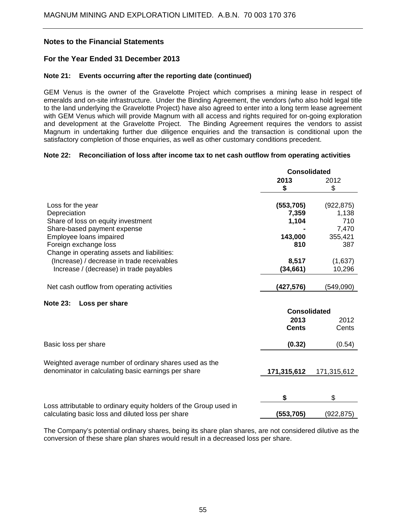### **For the Year Ended 31 December 2013**

#### **Note 21: Events occurring after the reporting date (continued)**

GEM Venus is the owner of the Gravelotte Project which comprises a mining lease in respect of emeralds and on-site infrastructure. Under the Binding Agreement, the vendors (who also hold legal title to the land underlying the Gravelotte Project) have also agreed to enter into a long term lease agreement with GEM Venus which will provide Magnum with all access and rights required for on-going exploration and development at the Gravelotte Project. The Binding Agreement requires the vendors to assist Magnum in undertaking further due diligence enquiries and the transaction is conditional upon the satisfactory completion of those enquiries, as well as other customary conditions precedent.

### **Note 22: Reconciliation of loss after income tax to net cash outflow from operating activities**

|                                                                   | <b>Consolidated</b> |             |
|-------------------------------------------------------------------|---------------------|-------------|
|                                                                   | 2013                | 2012        |
|                                                                   | \$                  | \$          |
| Loss for the year                                                 | (553, 705)          | (922, 875)  |
| Depreciation                                                      | 7,359               | 1,138       |
| Share of loss on equity investment                                | 1,104               | 710         |
| Share-based payment expense                                       |                     | 7,470       |
| Employee loans impaired                                           | 143,000             | 355,421     |
| Foreign exchange loss                                             | 810                 | 387         |
| Change in operating assets and liabilities:                       |                     |             |
| (Increase) / decrease in trade receivables                        | 8,517               | (1,637)     |
| Increase / (decrease) in trade payables                           | (34, 661)           | 10,296      |
|                                                                   |                     |             |
| Net cash outflow from operating activities                        | (427, 576)          | (549,090)   |
| <b>Note 23:</b><br>Loss per share                                 |                     |             |
|                                                                   | <b>Consolidated</b> |             |
|                                                                   | 2013                | 2012        |
|                                                                   | <b>Cents</b>        | Cents       |
| Basic loss per share                                              | (0.32)              | (0.54)      |
|                                                                   |                     |             |
| Weighted average number of ordinary shares used as the            |                     |             |
| denominator in calculating basic earnings per share               | 171,315,612         | 171,315,612 |
|                                                                   |                     |             |
|                                                                   |                     |             |
|                                                                   | \$                  | \$          |
| Loss attributable to ordinary equity holders of the Group used in |                     |             |
| calculating basic loss and diluted loss per share                 | (553,705)           | (922, 875)  |

The Company's potential ordinary shares, being its share plan shares, are not considered dilutive as the conversion of these share plan shares would result in a decreased loss per share.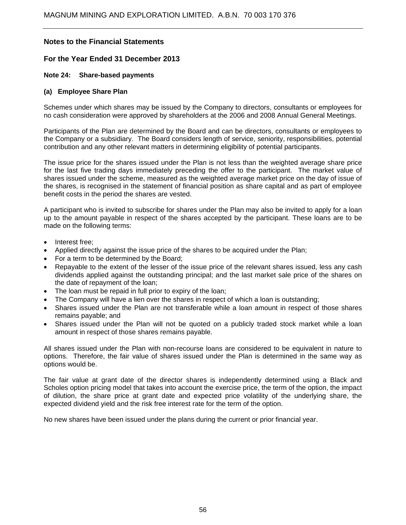### **For the Year Ended 31 December 2013**

### **Note 24: Share-based payments**

#### **(a) Employee Share Plan**

Schemes under which shares may be issued by the Company to directors, consultants or employees for no cash consideration were approved by shareholders at the 2006 and 2008 Annual General Meetings.

Participants of the Plan are determined by the Board and can be directors, consultants or employees to the Company or a subsidiary. The Board considers length of service, seniority, responsibilities, potential contribution and any other relevant matters in determining eligibility of potential participants.

The issue price for the shares issued under the Plan is not less than the weighted average share price for the last five trading days immediately preceding the offer to the participant. The market value of shares issued under the scheme, measured as the weighted average market price on the day of issue of the shares, is recognised in the statement of financial position as share capital and as part of employee benefit costs in the period the shares are vested.

A participant who is invited to subscribe for shares under the Plan may also be invited to apply for a loan up to the amount payable in respect of the shares accepted by the participant. These loans are to be made on the following terms:

- Interest free;
- Applied directly against the issue price of the shares to be acquired under the Plan;
- For a term to be determined by the Board;
- Repayable to the extent of the lesser of the issue price of the relevant shares issued, less any cash dividends applied against the outstanding principal; and the last market sale price of the shares on the date of repayment of the loan;
- The loan must be repaid in full prior to expiry of the loan;
- The Company will have a lien over the shares in respect of which a loan is outstanding;
- Shares issued under the Plan are not transferable while a loan amount in respect of those shares remains payable; and
- Shares issued under the Plan will not be quoted on a publicly traded stock market while a loan amount in respect of those shares remains payable.

All shares issued under the Plan with non-recourse loans are considered to be equivalent in nature to options. Therefore, the fair value of shares issued under the Plan is determined in the same way as options would be.

The fair value at grant date of the director shares is independently determined using a Black and Scholes option pricing model that takes into account the exercise price, the term of the option, the impact of dilution, the share price at grant date and expected price volatility of the underlying share, the expected dividend yield and the risk free interest rate for the term of the option.

No new shares have been issued under the plans during the current or prior financial year.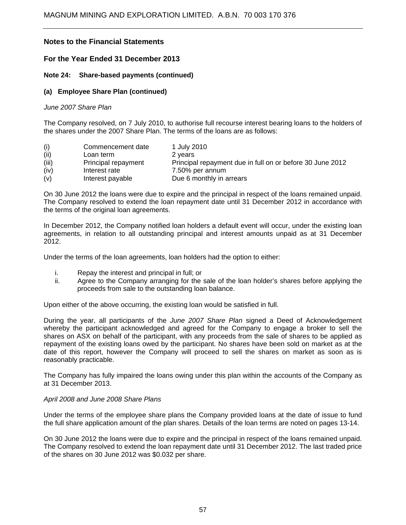### **For the Year Ended 31 December 2013**

### **Note 24: Share-based payments (continued)**

### **(a) Employee Share Plan (continued)**

#### *June 2007 Share Plan*

The Company resolved, on 7 July 2010, to authorise full recourse interest bearing loans to the holders of the shares under the 2007 Share Plan. The terms of the loans are as follows:

| (i)   | Commencement date   | 1 July 2010                                               |
|-------|---------------------|-----------------------------------------------------------|
| (ii)  | Loan term           | 2 years                                                   |
| (iii) | Principal repayment | Principal repayment due in full on or before 30 June 2012 |
| (iv)  | Interest rate       | 7.50% per annum                                           |
| (v)   | Interest payable    | Due 6 monthly in arrears                                  |

On 30 June 2012 the loans were due to expire and the principal in respect of the loans remained unpaid. The Company resolved to extend the loan repayment date until 31 December 2012 in accordance with the terms of the original loan agreements.

In December 2012, the Company notified loan holders a default event will occur, under the existing loan agreements, in relation to all outstanding principal and interest amounts unpaid as at 31 December 2012.

Under the terms of the loan agreements, loan holders had the option to either:

- i. Repay the interest and principal in full; or
- ii. Agree to the Company arranging for the sale of the loan holder's shares before applying the proceeds from sale to the outstanding loan balance.

Upon either of the above occurring, the existing loan would be satisfied in full.

During the year, all participants of the *June 2007 Share Plan* signed a Deed of Acknowledgement whereby the participant acknowledged and agreed for the Company to engage a broker to sell the shares on ASX on behalf of the participant, with any proceeds from the sale of shares to be applied as repayment of the existing loans owed by the participant. No shares have been sold on market as at the date of this report, however the Company will proceed to sell the shares on market as soon as is reasonably practicable.

The Company has fully impaired the loans owing under this plan within the accounts of the Company as at 31 December 2013.

#### *April 2008 and June 2008 Share Plans*

Under the terms of the employee share plans the Company provided loans at the date of issue to fund the full share application amount of the plan shares. Details of the loan terms are noted on pages 13-14.

On 30 June 2012 the loans were due to expire and the principal in respect of the loans remained unpaid. The Company resolved to extend the loan repayment date until 31 December 2012. The last traded price of the shares on 30 June 2012 was \$0.032 per share.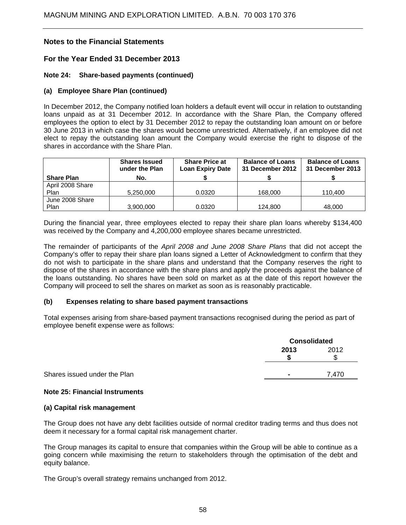### **For the Year Ended 31 December 2013**

### **Note 24: Share-based payments (continued)**

### **(a) Employee Share Plan (continued)**

In December 2012, the Company notified loan holders a default event will occur in relation to outstanding loans unpaid as at 31 December 2012. In accordance with the Share Plan, the Company offered employees the option to elect by 31 December 2012 to repay the outstanding loan amount on or before 30 June 2013 in which case the shares would become unrestricted. Alternatively, if an employee did not elect to repay the outstanding loan amount the Company would exercise the right to dispose of the shares in accordance with the Share Plan.

|                   | <b>Shares Issued</b><br>under the Plan | <b>Share Price at</b><br><b>Loan Expiry Date</b> | <b>Balance of Loans</b><br>31 December 2012 | <b>Balance of Loans</b><br>31 December 2013 |
|-------------------|----------------------------------------|--------------------------------------------------|---------------------------------------------|---------------------------------------------|
| <b>Share Plan</b> | No.                                    |                                                  |                                             |                                             |
| April 2008 Share  |                                        |                                                  |                                             |                                             |
| Plan              | 5,250,000                              | 0.0320                                           | 168,000                                     | 110.400                                     |
| June 2008 Share   |                                        |                                                  |                                             |                                             |
| Plan              | 3,900,000                              | 0.0320                                           | 124.800                                     | 48,000                                      |

During the financial year, three employees elected to repay their share plan loans whereby \$134,400 was received by the Company and 4,200,000 employee shares became unrestricted.

The remainder of participants of the *April 2008 and June 2008 Share Plans* that did not accept the Company's offer to repay their share plan loans signed a Letter of Acknowledgment to confirm that they do not wish to participate in the share plans and understand that the Company reserves the right to dispose of the shares in accordance with the share plans and apply the proceeds against the balance of the loans outstanding. No shares have been sold on market as at the date of this report however the Company will proceed to sell the shares on market as soon as is reasonably practicable.

#### **(b) Expenses relating to share based payment transactions**

Total expenses arising from share-based payment transactions recognised during the period as part of employee benefit expense were as follows:

|                              | <b>Consolidated</b> |      |  |
|------------------------------|---------------------|------|--|
|                              | 2013                | 2012 |  |
| Shares issued under the Plan |                     | .470 |  |

#### **Note 25: Financial Instruments**

#### **(a) Capital risk management**

The Group does not have any debt facilities outside of normal creditor trading terms and thus does not deem it necessary for a formal capital risk management charter.

The Group manages its capital to ensure that companies within the Group will be able to continue as a going concern while maximising the return to stakeholders through the optimisation of the debt and equity balance.

The Group's overall strategy remains unchanged from 2012.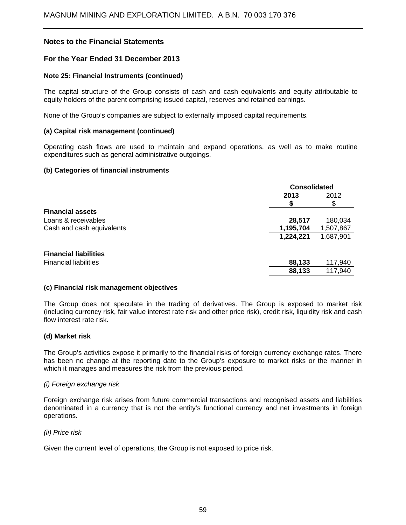### **For the Year Ended 31 December 2013**

### **Note 25: Financial Instruments (continued)**

The capital structure of the Group consists of cash and cash equivalents and equity attributable to equity holders of the parent comprising issued capital, reserves and retained earnings.

None of the Group's companies are subject to externally imposed capital requirements.

#### **(a) Capital risk management (continued)**

Operating cash flows are used to maintain and expand operations, as well as to make routine expenditures such as general administrative outgoings.

### **(b) Categories of financial instruments**

|                              | <b>Consolidated</b> |           |  |
|------------------------------|---------------------|-----------|--|
|                              | 2013                | 2012      |  |
|                              |                     | S         |  |
| <b>Financial assets</b>      |                     |           |  |
| Loans & receivables          | 28,517              | 180,034   |  |
| Cash and cash equivalents    | 1,195,704           | 1,507,867 |  |
|                              | 1,224,221           | 1,687,901 |  |
| <b>Financial liabilities</b> |                     |           |  |
| <b>Financial liabilities</b> | 88,133              | 117,940   |  |
|                              | 88,133              | 117,940   |  |

#### **(c) Financial risk management objectives**

The Group does not speculate in the trading of derivatives. The Group is exposed to market risk (including currency risk, fair value interest rate risk and other price risk), credit risk, liquidity risk and cash flow interest rate risk.

#### **(d) Market risk**

The Group's activities expose it primarily to the financial risks of foreign currency exchange rates. There has been no change at the reporting date to the Group's exposure to market risks or the manner in which it manages and measures the risk from the previous period.

#### *(i) Foreign exchange risk*

Foreign exchange risk arises from future commercial transactions and recognised assets and liabilities denominated in a currency that is not the entity's functional currency and net investments in foreign operations.

#### *(ii) Price risk*

Given the current level of operations, the Group is not exposed to price risk.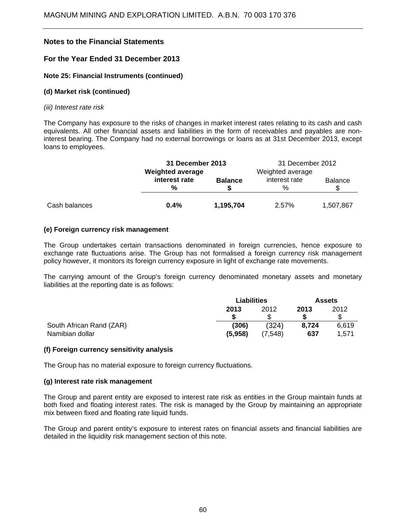### **For the Year Ended 31 December 2013**

### **Note 25: Financial Instruments (continued)**

### **(d) Market risk (continued)**

#### *(iii) Interest rate risk*

The Company has exposure to the risks of changes in market interest rates relating to its cash and cash equivalents. All other financial assets and liabilities in the form of receivables and payables are noninterest bearing. The Company had no external borrowings or loans as at 31st December 2013, except loans to employees.

|               |                                | 31 December 2013        |                       | 31 December 2012 |  |  |
|---------------|--------------------------------|-------------------------|-----------------------|------------------|--|--|
|               |                                | <b>Weighted average</b> |                       | Weighted average |  |  |
|               | interest rate<br>$\frac{0}{0}$ | <b>Balance</b>          | interest rate<br>$\%$ | <b>Balance</b>   |  |  |
| Cash balances | $0.4\%$                        | 1,195,704               | 2.57%                 | 1,507,867        |  |  |

### **(e) Foreign currency risk management**

The Group undertakes certain transactions denominated in foreign currencies, hence exposure to exchange rate fluctuations arise. The Group has not formalised a foreign currency risk management policy however, it monitors its foreign currency exposure in light of exchange rate movements.

The carrying amount of the Group's foreign currency denominated monetary assets and monetary liabilities at the reporting date is as follows:

|                          | <b>Liabilities</b> |         | <b>Assets</b> |       |
|--------------------------|--------------------|---------|---------------|-------|
|                          | 2013               | 2012    | 2013          | 2012  |
|                          |                    |         |               |       |
| South African Rand (ZAR) | (306)              | (324)   | 8,724         | 6,619 |
| Namibian dollar          | (5,958)            | (7.548) | 637           | 1.571 |

#### **(f) Foreign currency sensitivity analysis**

The Group has no material exposure to foreign currency fluctuations.

#### **(g) Interest rate risk management**

The Group and parent entity are exposed to interest rate risk as entities in the Group maintain funds at both fixed and floating interest rates. The risk is managed by the Group by maintaining an appropriate mix between fixed and floating rate liquid funds.

The Group and parent entity's exposure to interest rates on financial assets and financial liabilities are detailed in the liquidity risk management section of this note.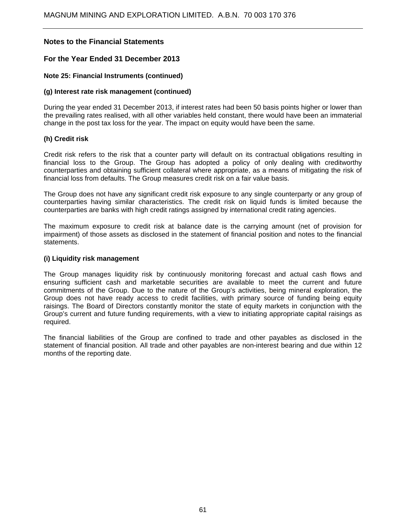### **For the Year Ended 31 December 2013**

### **Note 25: Financial Instruments (continued)**

### **(g) Interest rate risk management (continued)**

During the year ended 31 December 2013, if interest rates had been 50 basis points higher or lower than the prevailing rates realised, with all other variables held constant, there would have been an immaterial change in the post tax loss for the year. The impact on equity would have been the same.

### **(h) Credit risk**

Credit risk refers to the risk that a counter party will default on its contractual obligations resulting in financial loss to the Group. The Group has adopted a policy of only dealing with creditworthy counterparties and obtaining sufficient collateral where appropriate, as a means of mitigating the risk of financial loss from defaults. The Group measures credit risk on a fair value basis.

The Group does not have any significant credit risk exposure to any single counterparty or any group of counterparties having similar characteristics. The credit risk on liquid funds is limited because the counterparties are banks with high credit ratings assigned by international credit rating agencies.

The maximum exposure to credit risk at balance date is the carrying amount (net of provision for impairment) of those assets as disclosed in the statement of financial position and notes to the financial statements.

### **(i) Liquidity risk management**

The Group manages liquidity risk by continuously monitoring forecast and actual cash flows and ensuring sufficient cash and marketable securities are available to meet the current and future commitments of the Group. Due to the nature of the Group's activities, being mineral exploration, the Group does not have ready access to credit facilities, with primary source of funding being equity raisings. The Board of Directors constantly monitor the state of equity markets in conjunction with the Group's current and future funding requirements, with a view to initiating appropriate capital raisings as required.

The financial liabilities of the Group are confined to trade and other payables as disclosed in the statement of financial position. All trade and other payables are non-interest bearing and due within 12 months of the reporting date.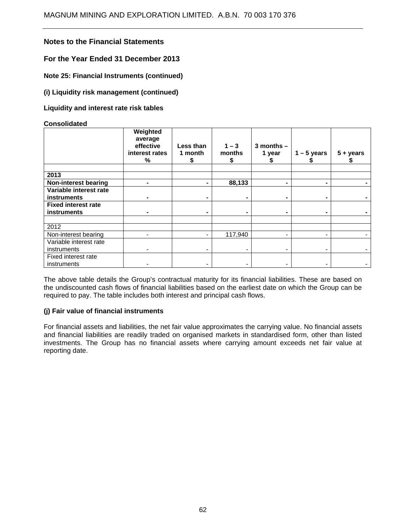### **For the Year Ended 31 December 2013**

**Note 25: Financial Instruments (continued)** 

**(i) Liquidity risk management (continued)** 

**Liquidity and interest rate risk tables** 

#### **Consolidated**

|                             | Weighted<br>average<br>effective<br>interest rates<br>℅ | Less than<br>1 month<br>S | $1 - 3$<br>months<br>S | $3$ months $-$<br>1 year<br>э | $1 - 5$ years | $5 + years$ |
|-----------------------------|---------------------------------------------------------|---------------------------|------------------------|-------------------------------|---------------|-------------|
| 2013                        |                                                         |                           |                        |                               |               |             |
| <b>Non-interest bearing</b> |                                                         |                           | 88,133                 |                               |               |             |
| Variable interest rate      |                                                         |                           |                        |                               |               |             |
| <b>instruments</b>          |                                                         |                           |                        |                               |               |             |
| <b>Fixed interest rate</b>  |                                                         |                           |                        |                               |               |             |
| <b>instruments</b>          |                                                         |                           |                        |                               |               |             |
|                             |                                                         |                           |                        |                               |               |             |
| 2012                        |                                                         |                           |                        |                               |               |             |
| Non-interest bearing        |                                                         | $\blacksquare$            | 117,940                |                               |               |             |
| Variable interest rate      |                                                         |                           |                        |                               |               |             |
| instruments                 |                                                         |                           |                        |                               |               |             |
| Fixed interest rate         |                                                         |                           |                        |                               |               |             |
| instruments                 |                                                         |                           |                        |                               |               |             |

The above table details the Group's contractual maturity for its financial liabilities. These are based on the undiscounted cash flows of financial liabilities based on the earliest date on which the Group can be required to pay. The table includes both interest and principal cash flows.

### **(j) Fair value of financial instruments**

For financial assets and liabilities, the net fair value approximates the carrying value. No financial assets and financial liabilities are readily traded on organised markets in standardised form, other than listed investments. The Group has no financial assets where carrying amount exceeds net fair value at reporting date.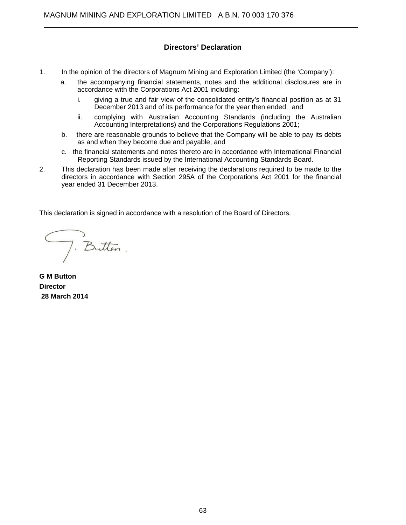### **Directors' Declaration**

- 1. In the opinion of the directors of Magnum Mining and Exploration Limited (the 'Company'):
	- a. the accompanying financial statements, notes and the additional disclosures are in accordance with the Corporations Act 2001 including:
		- i. giving a true and fair view of the consolidated entity's financial position as at 31 December 2013 and of its performance for the year then ended; and
		- ii. complying with Australian Accounting Standards (including the Australian Accounting Interpretations) and the Corporations Regulations 2001;
	- b. there are reasonable grounds to believe that the Company will be able to pay its debts as and when they become due and payable; and
	- c. the financial statements and notes thereto are in accordance with International Financial Reporting Standards issued by the International Accounting Standards Board.
- 2. This declaration has been made after receiving the declarations required to be made to the directors in accordance with Section 295A of the Corporations Act 2001 for the financial year ended 31 December 2013.

This declaration is signed in accordance with a resolution of the Board of Directors.

J. Butten.

**G M Button Director 28 March 2014** 

 $\overline{a}$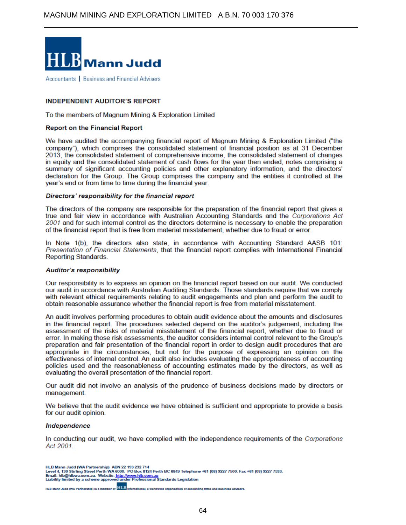

 $\overline{a}$ 

Accountants | Business and Financial Advisers

#### **INDEPENDENT AUDITOR'S REPORT**

To the members of Magnum Mining & Exploration Limited

#### **Report on the Financial Report**

We have audited the accompanying financial report of Magnum Mining & Exploration Limited ("the company"), which comprises the consolidated statement of financial position as at 31 December 2013, the consolidated statement of comprehensive income, the consolidated statement of changes in equity and the consolidated statement of cash flows for the year then ended, notes comprising a summary of significant accounting policies and other explanatory information, and the directors' declaration for the Group. The Group comprises the company and the entities it controlled at the year's end or from time to time during the financial year.

#### Directors' responsibility for the financial report

The directors of the company are responsible for the preparation of the financial report that gives a true and fair view in accordance with Australian Accounting Standards and the Corporations Act 2001 and for such internal control as the directors determine is necessary to enable the preparation of the financial report that is free from material misstatement, whether due to fraud or error.

In Note 1(b), the directors also state, in accordance with Accounting Standard AASB 101: Presentation of Financial Statements, that the financial report complies with International Financial **Reporting Standards.** 

#### **Auditor's responsibility**

Our responsibility is to express an opinion on the financial report based on our audit. We conducted our audit in accordance with Australian Auditing Standards. Those standards require that we comply with relevant ethical requirements relating to audit engagements and plan and perform the audit to obtain reasonable assurance whether the financial report is free from material misstatement.

An audit involves performing procedures to obtain audit evidence about the amounts and disclosures in the financial report. The procedures selected depend on the auditor's judgement, including the assessment of the risks of material misstatement of the financial report, whether due to fraud or error. In making those risk assessments, the auditor considers internal control relevant to the Group's preparation and fair presentation of the financial report in order to design audit procedures that are appropriate in the circumstances, but not for the purpose of expressing an opinion on the effectiveness of internal control. An audit also includes evaluating the appropriateness of accounting policies used and the reasonableness of accounting estimates made by the directors, as well as evaluating the overall presentation of the financial report.

Our audit did not involve an analysis of the prudence of business decisions made by directors or management.

We believe that the audit evidence we have obtained is sufficient and appropriate to provide a basis for our audit opinion.

#### Independence

In conducting our audit, we have complied with the independence requirements of the Corporations Act 2001.

HLB Mann Judd (WA Partnerchip) is a member of **HLB** nal, a worldwide orga nting firms and business advi

HLB Mann Judd (WA Partnership) ABN 22 193 232 714<br>Level 4, 130 Stirling Street Perth WA 6000. PO Box 8124 Perth BC 6849 Telephone +61 (08) 9227 7500. Fax +61 (08) 9227 7533. Email: hlb@hlbwa.com.au. Website: http://www.hlb.com.au<br>Liability limited by a scheme approved under Professional Standards Legislation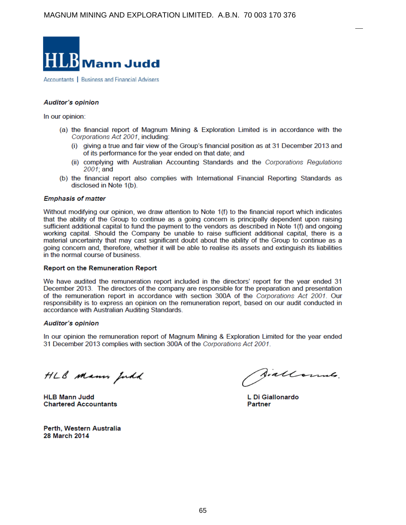

Accountants | Business and Financial Advisers

#### **Auditor's opinion**

In our opinion:

- (a) the financial report of Magnum Mining & Exploration Limited is in accordance with the Corporations Act 2001, including:
	- (i) giving a true and fair view of the Group's financial position as at 31 December 2013 and of its performance for the year ended on that date; and
	- (ii) complying with Australian Accounting Standards and the Corporations Regulations 2001: and
- (b) the financial report also complies with International Financial Reporting Standards as disclosed in Note 1(b).

#### **Emphasis of matter**

Without modifying our opinion, we draw attention to Note 1(f) to the financial report which indicates that the ability of the Group to continue as a going concern is principally dependent upon raising sufficient additional capital to fund the payment to the vendors as described in Note 1(f) and ongoing working capital. Should the Company be unable to raise sufficient additional capital, there is a material uncertainty that may cast significant doubt about the ability of the Group to continue as a going concern and, therefore, whether it will be able to realise its assets and extinguish its liabilities in the normal course of business.

#### **Report on the Remuneration Report**

We have audited the remuneration report included in the directors' report for the year ended 31 December 2013. The directors of the company are responsible for the preparation and presentation of the remuneration report in accordance with section 300A of the Corporations Act 2001. Our responsibility is to express an opinion on the remuneration report, based on our audit conducted in accordance with Australian Auditing Standards.

#### **Auditor's opinion**

In our opinion the remuneration report of Magnum Mining & Exploration Limited for the year ended 31 December 2013 complies with section 300A of the Corporations Act 2001.

HLB Mann Judd

**HLB Mann Judd Chartered Accountants** 

Perth, Western Australia 28 March 2014

fiallowns.

L Di Giallonardo Partner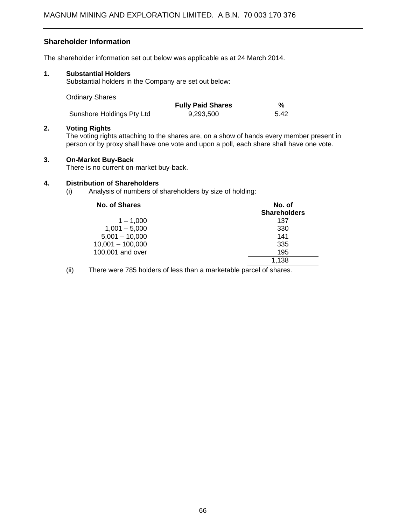### **Shareholder Information**

The shareholder information set out below was applicable as at 24 March 2014.

### **1. Substantial Holders**

Substantial holders in the Company are set out below:

| <b>Ordinary Shares</b>    |                          |      |
|---------------------------|--------------------------|------|
|                           | <b>Fully Paid Shares</b> | %    |
| Sunshore Holdings Pty Ltd | 9.293.500                | 5.42 |

#### **2. Voting Rights**

The voting rights attaching to the shares are, on a show of hands every member present in person or by proxy shall have one vote and upon a poll, each share shall have one vote.

### **3. On-Market Buy-Back**

There is no current on-market buy-back.

### **4. Distribution of Shareholders**

(i) Analysis of numbers of shareholders by size of holding:

| No. of Shares      | No. of              |  |
|--------------------|---------------------|--|
|                    | <b>Shareholders</b> |  |
| $1 - 1.000$        | 137                 |  |
| $1,001 - 5,000$    | 330                 |  |
| $5,001 - 10,000$   | 141                 |  |
| $10,001 - 100,000$ | 335                 |  |
| 100,001 and over   | 195                 |  |
|                    | 1,138               |  |
|                    |                     |  |

(ii) There were 785 holders of less than a marketable parcel of shares.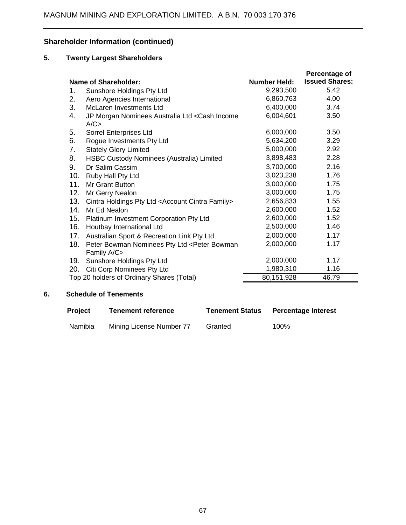# **Shareholder Information (continued)**

### **5. Twenty Largest Shareholders**

|                                                                                 |                     | Percentage of         |
|---------------------------------------------------------------------------------|---------------------|-----------------------|
| Name of Shareholder:                                                            | <b>Number Held:</b> | <b>Issued Shares:</b> |
| Sunshore Holdings Pty Ltd<br>1.                                                 | 9,293,500           | 5.42                  |
| Aero Agencies International<br>2.                                               | 6,860,763           | 4.00                  |
| 3.<br>McLaren Investments Ltd                                                   | 6,400,000           | 3.74                  |
| 4.<br>JP Morgan Nominees Australia Ltd < Cash Income<br>A/C                     | 6,004,601           | 3.50                  |
| 5.<br>Sorrel Enterprises Ltd                                                    | 6,000,000           | 3.50                  |
| 6.<br>Rogue Investments Pty Ltd                                                 | 5,634,200           | 3.29                  |
| 7.<br><b>Stately Glory Limited</b>                                              | 5,000,000           | 2.92                  |
| 8.<br>HSBC Custody Nominees (Australia) Limited                                 | 3,898,483           | 2.28                  |
| 9.<br>Dr Salim Cassim                                                           | 3,700,000           | 2.16                  |
| 10.<br>Ruby Hall Pty Ltd                                                        | 3,023,238           | 1.76                  |
| 11.<br>Mr Grant Button                                                          | 3,000,000           | 1.75                  |
| 12.<br>Mr Gerry Nealon                                                          | 3,000,000           | 1.75                  |
| 13.<br>Cintra Holdings Pty Ltd <account cintra="" family=""></account>          | 2,656,833           | 1.55                  |
| 14.<br>Mr Ed Nealon                                                             | 2,600,000           | 1.52                  |
| 15. Platinum Investment Corporation Pty Ltd                                     | 2,600,000           | 1.52                  |
| 16. Houtbay International Ltd                                                   | 2,500,000           | 1.46                  |
| 17. Australian Sport & Recreation Link Pty Ltd                                  | 2,000,000           | 1.17                  |
| 18.<br>Peter Bowman Nominees Pty Ltd <peter bowman<br="">Family A/C&gt;</peter> | 2,000,000           | 1.17                  |
| Sunshore Holdings Pty Ltd<br>19.                                                | 2,000,000           | 1.17                  |
| Citi Corp Nominees Pty Ltd<br>20.                                               | 1,980,310           | 1.16                  |
| Top 20 holders of Ordinary Shares (Total)                                       | 80,151,928          | 46.79                 |

### **6. Schedule of Tenements**

| <b>Project</b> | <b>Tenement reference</b> | <b>Tenement Status</b> | <b>Percentage Interest</b> |
|----------------|---------------------------|------------------------|----------------------------|
| Namibia        | Mining License Number 77  | Granted                | 100%                       |